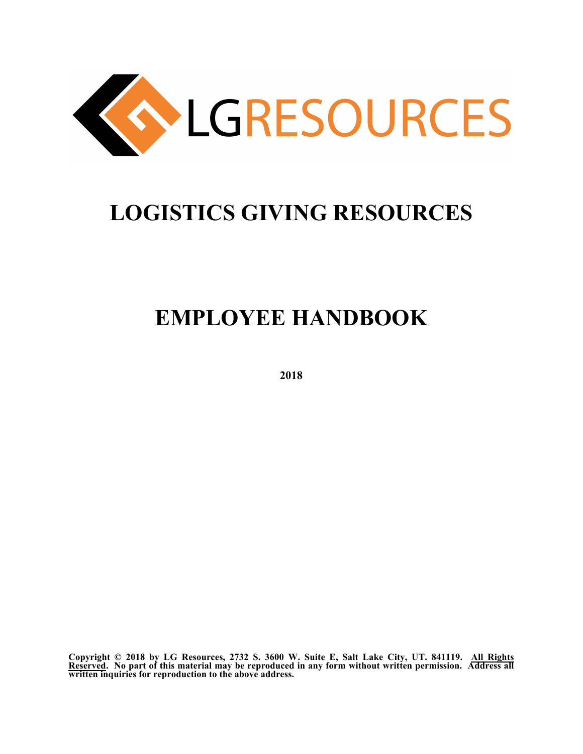

# **LOGISTICS GIVING RESOURCES**

# **EMPLOYEE HANDBOOK**

**2018**

**Copyright © 2018 by LG Resources, 2732 S. 3600 W. Suite E, Salt Lake City, UT. 841119. All Rights Reserved. No part of this material may be reproduced in any form without written permission. Address all written inquiries for reproduction to the above address.**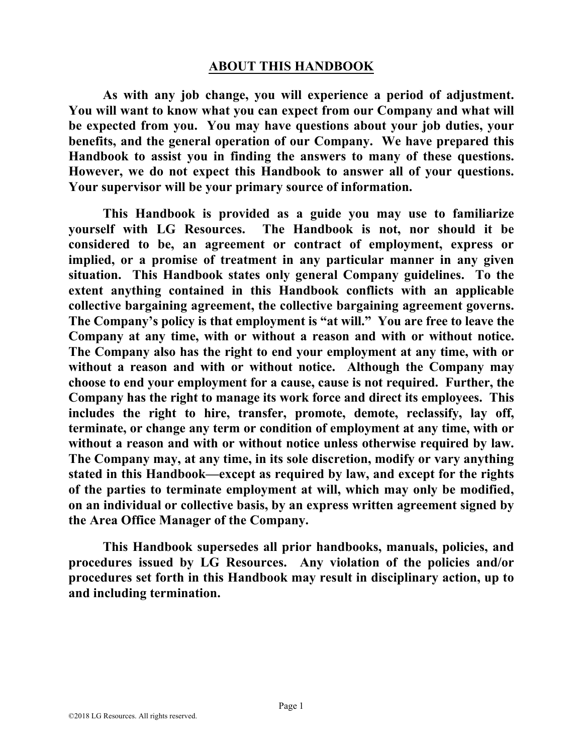# **ABOUT THIS HANDBOOK**

**As with any job change, you will experience a period of adjustment. You will want to know what you can expect from our Company and what will be expected from you. You may have questions about your job duties, your benefits, and the general operation of our Company. We have prepared this Handbook to assist you in finding the answers to many of these questions. However, we do not expect this Handbook to answer all of your questions. Your supervisor will be your primary source of information.** 

**This Handbook is provided as a guide you may use to familiarize yourself with LG Resources. The Handbook is not, nor should it be considered to be, an agreement or contract of employment, express or implied, or a promise of treatment in any particular manner in any given situation. This Handbook states only general Company guidelines. To the extent anything contained in this Handbook conflicts with an applicable collective bargaining agreement, the collective bargaining agreement governs. The Company's policy is that employment is "at will." You are free to leave the Company at any time, with or without a reason and with or without notice. The Company also has the right to end your employment at any time, with or without a reason and with or without notice. Although the Company may choose to end your employment for a cause, cause is not required. Further, the Company has the right to manage its work force and direct its employees. This includes the right to hire, transfer, promote, demote, reclassify, lay off, terminate, or change any term or condition of employment at any time, with or without a reason and with or without notice unless otherwise required by law. The Company may, at any time, in its sole discretion, modify or vary anything stated in this Handbook—except as required by law, and except for the rights of the parties to terminate employment at will, which may only be modified, on an individual or collective basis, by an express written agreement signed by the Area Office Manager of the Company.**

**This Handbook supersedes all prior handbooks, manuals, policies, and procedures issued by LG Resources. Any violation of the policies and/or procedures set forth in this Handbook may result in disciplinary action, up to and including termination.**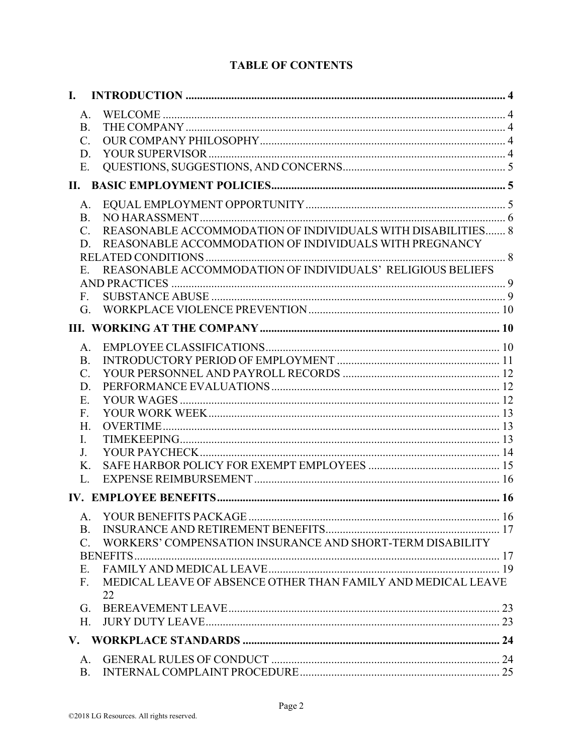# **TABLE OF CONTENTS**

| I.              |                                                                            |  |
|-----------------|----------------------------------------------------------------------------|--|
| A.              |                                                                            |  |
| <b>B.</b>       |                                                                            |  |
| $\mathcal{C}$ . |                                                                            |  |
| D.              |                                                                            |  |
| E.              |                                                                            |  |
|                 |                                                                            |  |
|                 | A.                                                                         |  |
| <b>B.</b>       |                                                                            |  |
| C.              | REASONABLE ACCOMMODATION OF INDIVIDUALS WITH DISABILITIES 8                |  |
| D.              | REASONABLE ACCOMMODATION OF INDIVIDUALS WITH PREGNANCY                     |  |
|                 |                                                                            |  |
|                 | REASONABLE ACCOMMODATION OF INDIVIDUALS' RELIGIOUS BELIEFS<br>$E_{\rm{m}}$ |  |
|                 |                                                                            |  |
|                 | $F_{\cdot}$                                                                |  |
|                 | G.                                                                         |  |
|                 |                                                                            |  |
| $A_{\cdot}$     |                                                                            |  |
| <b>B.</b>       |                                                                            |  |
| C.              |                                                                            |  |
| D.              |                                                                            |  |
| E.              |                                                                            |  |
| F.              |                                                                            |  |
| H.              |                                                                            |  |
| I.              |                                                                            |  |
| J.              |                                                                            |  |
| K.              |                                                                            |  |
| L.              |                                                                            |  |
|                 |                                                                            |  |
|                 |                                                                            |  |
| $B_{-}$         |                                                                            |  |
|                 | WORKERS' COMPENSATION INSURANCE AND SHORT-TERM DISABILITY<br>$C_{-}$       |  |
|                 |                                                                            |  |
| E.              |                                                                            |  |
| $F_{-}$         | MEDICAL LEAVE OF ABSENCE OTHER THAN FAMILY AND MEDICAL LEAVE<br>22         |  |
|                 | G                                                                          |  |
|                 | $H_{-}$                                                                    |  |
|                 |                                                                            |  |
|                 |                                                                            |  |
|                 | A.                                                                         |  |
|                 | <b>B</b> .                                                                 |  |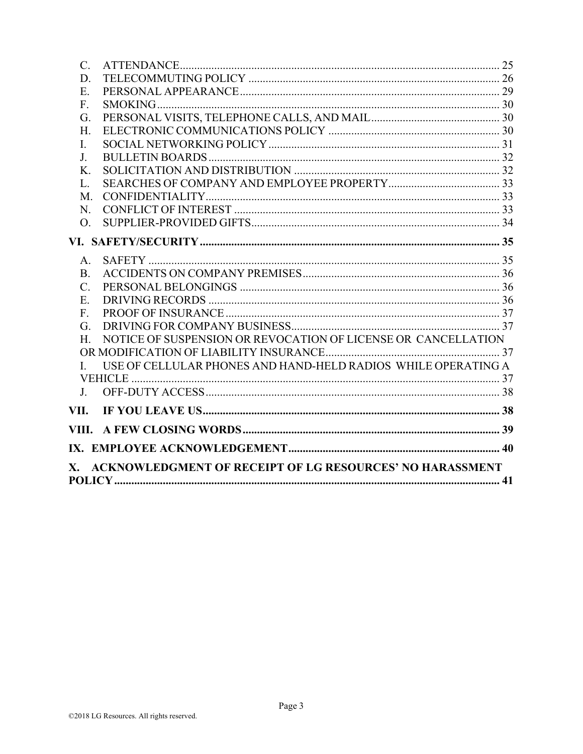| $\mathcal{C}$ .                                             |                                                                  |  |  |  |
|-------------------------------------------------------------|------------------------------------------------------------------|--|--|--|
| D                                                           |                                                                  |  |  |  |
| Ε.                                                          |                                                                  |  |  |  |
| F.                                                          |                                                                  |  |  |  |
| G.                                                          |                                                                  |  |  |  |
| H.                                                          |                                                                  |  |  |  |
| I.                                                          |                                                                  |  |  |  |
| J <sub>1</sub>                                              |                                                                  |  |  |  |
| K.                                                          |                                                                  |  |  |  |
| L.                                                          |                                                                  |  |  |  |
| M.                                                          |                                                                  |  |  |  |
| N.                                                          |                                                                  |  |  |  |
| O.                                                          |                                                                  |  |  |  |
|                                                             |                                                                  |  |  |  |
| $\mathsf{A}$                                                |                                                                  |  |  |  |
| <b>B.</b>                                                   |                                                                  |  |  |  |
| $\mathcal{C}$ .                                             |                                                                  |  |  |  |
| Ε.                                                          |                                                                  |  |  |  |
| $F_{\cdot}$                                                 |                                                                  |  |  |  |
| G.                                                          |                                                                  |  |  |  |
| $H_{\cdot}$                                                 | NOTICE OF SUSPENSION OR REVOCATION OF LICENSE OR CANCELLATION    |  |  |  |
|                                                             |                                                                  |  |  |  |
|                                                             | I. USE OF CELLULAR PHONES AND HAND-HELD RADIOS WHILE OPERATING A |  |  |  |
|                                                             |                                                                  |  |  |  |
| $J_{-}$                                                     |                                                                  |  |  |  |
|                                                             |                                                                  |  |  |  |
|                                                             |                                                                  |  |  |  |
|                                                             |                                                                  |  |  |  |
| X. ACKNOWLEDGMENT OF RECEIPT OF LG RESOURCES' NO HARASSMENT |                                                                  |  |  |  |
|                                                             |                                                                  |  |  |  |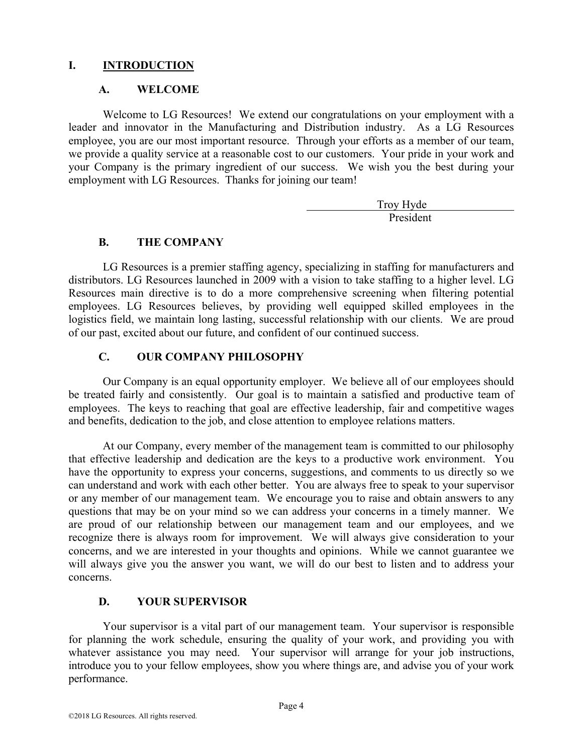# **I. INTRODUCTION**

# **A. WELCOME**

Welcome to LG Resources! We extend our congratulations on your employment with a leader and innovator in the Manufacturing and Distribution industry. As a LG Resources employee, you are our most important resource. Through your efforts as a member of our team, we provide a quality service at a reasonable cost to our customers. Your pride in your work and your Company is the primary ingredient of our success. We wish you the best during your employment with LG Resources. Thanks for joining our team!

> Troy Hyde President

# **B. THE COMPANY**

LG Resources is a premier staffing agency, specializing in staffing for manufacturers and distributors. LG Resources launched in 2009 with a vision to take staffing to a higher level. LG Resources main directive is to do a more comprehensive screening when filtering potential employees. LG Resources believes, by providing well equipped skilled employees in the logistics field, we maintain long lasting, successful relationship with our clients. We are proud of our past, excited about our future, and confident of our continued success.

# **C. OUR COMPANY PHILOSOPHY**

Our Company is an equal opportunity employer. We believe all of our employees should be treated fairly and consistently. Our goal is to maintain a satisfied and productive team of employees. The keys to reaching that goal are effective leadership, fair and competitive wages and benefits, dedication to the job, and close attention to employee relations matters.

At our Company, every member of the management team is committed to our philosophy that effective leadership and dedication are the keys to a productive work environment. You have the opportunity to express your concerns, suggestions, and comments to us directly so we can understand and work with each other better. You are always free to speak to your supervisor or any member of our management team. We encourage you to raise and obtain answers to any questions that may be on your mind so we can address your concerns in a timely manner. We are proud of our relationship between our management team and our employees, and we recognize there is always room for improvement. We will always give consideration to your concerns, and we are interested in your thoughts and opinions. While we cannot guarantee we will always give you the answer you want, we will do our best to listen and to address your concerns.

# **D. YOUR SUPERVISOR**

Your supervisor is a vital part of our management team. Your supervisor is responsible for planning the work schedule, ensuring the quality of your work, and providing you with whatever assistance you may need. Your supervisor will arrange for your job instructions, introduce you to your fellow employees, show you where things are, and advise you of your work performance.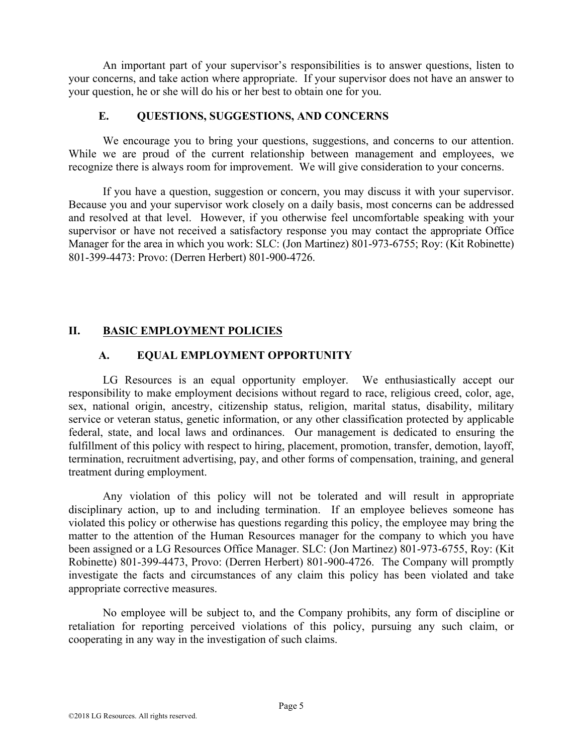An important part of your supervisor's responsibilities is to answer questions, listen to your concerns, and take action where appropriate. If your supervisor does not have an answer to your question, he or she will do his or her best to obtain one for you.

### **E. QUESTIONS, SUGGESTIONS, AND CONCERNS**

We encourage you to bring your questions, suggestions, and concerns to our attention. While we are proud of the current relationship between management and employees, we recognize there is always room for improvement. We will give consideration to your concerns.

If you have a question, suggestion or concern, you may discuss it with your supervisor. Because you and your supervisor work closely on a daily basis, most concerns can be addressed and resolved at that level. However, if you otherwise feel uncomfortable speaking with your supervisor or have not received a satisfactory response you may contact the appropriate Office Manager for the area in which you work: SLC: (Jon Martinez) 801-973-6755; Roy: (Kit Robinette) 801-399-4473: Provo: (Derren Herbert) 801-900-4726.

# **II. BASIC EMPLOYMENT POLICIES**

# **A. EQUAL EMPLOYMENT OPPORTUNITY**

LG Resources is an equal opportunity employer. We enthusiastically accept our responsibility to make employment decisions without regard to race, religious creed, color, age, sex, national origin, ancestry, citizenship status, religion, marital status, disability, military service or veteran status, genetic information, or any other classification protected by applicable federal, state, and local laws and ordinances. Our management is dedicated to ensuring the fulfillment of this policy with respect to hiring, placement, promotion, transfer, demotion, layoff, termination, recruitment advertising, pay, and other forms of compensation, training, and general treatment during employment.

Any violation of this policy will not be tolerated and will result in appropriate disciplinary action, up to and including termination. If an employee believes someone has violated this policy or otherwise has questions regarding this policy, the employee may bring the matter to the attention of the Human Resources manager for the company to which you have been assigned or a LG Resources Office Manager. SLC: (Jon Martinez) 801-973-6755, Roy: (Kit Robinette) 801-399-4473, Provo: (Derren Herbert) 801-900-4726. The Company will promptly investigate the facts and circumstances of any claim this policy has been violated and take appropriate corrective measures.

No employee will be subject to, and the Company prohibits, any form of discipline or retaliation for reporting perceived violations of this policy, pursuing any such claim, or cooperating in any way in the investigation of such claims.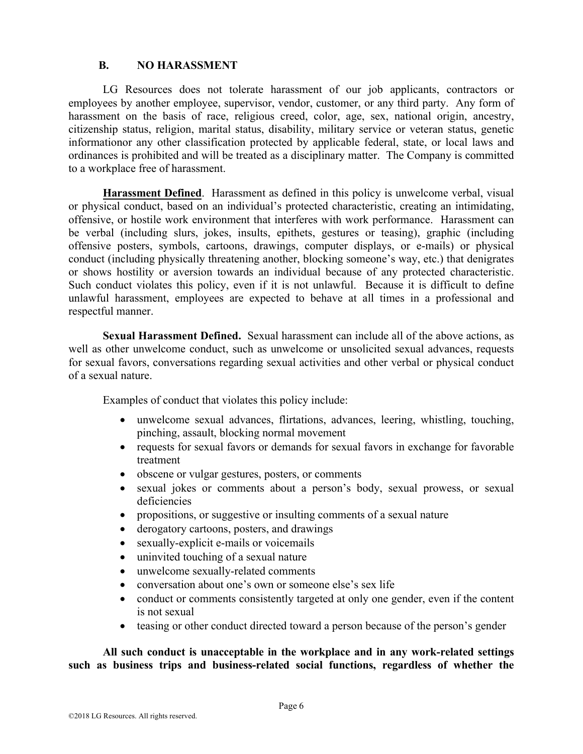## **B. NO HARASSMENT**

LG Resources does not tolerate harassment of our job applicants, contractors or employees by another employee, supervisor, vendor, customer, or any third party. Any form of harassment on the basis of race, religious creed, color, age, sex, national origin, ancestry, citizenship status, religion, marital status, disability, military service or veteran status, genetic informationor any other classification protected by applicable federal, state, or local laws and ordinances is prohibited and will be treated as a disciplinary matter. The Company is committed to a workplace free of harassment.

**Harassment Defined**. Harassment as defined in this policy is unwelcome verbal, visual or physical conduct, based on an individual's protected characteristic, creating an intimidating, offensive, or hostile work environment that interferes with work performance. Harassment can be verbal (including slurs, jokes, insults, epithets, gestures or teasing), graphic (including offensive posters, symbols, cartoons, drawings, computer displays, or e-mails) or physical conduct (including physically threatening another, blocking someone's way, etc.) that denigrates or shows hostility or aversion towards an individual because of any protected characteristic. Such conduct violates this policy, even if it is not unlawful. Because it is difficult to define unlawful harassment, employees are expected to behave at all times in a professional and respectful manner.

**Sexual Harassment Defined.** Sexual harassment can include all of the above actions, as well as other unwelcome conduct, such as unwelcome or unsolicited sexual advances, requests for sexual favors, conversations regarding sexual activities and other verbal or physical conduct of a sexual nature.

Examples of conduct that violates this policy include:

- unwelcome sexual advances, flirtations, advances, leering, whistling, touching, pinching, assault, blocking normal movement
- requests for sexual favors or demands for sexual favors in exchange for favorable treatment
- obscene or vulgar gestures, posters, or comments
- sexual jokes or comments about a person's body, sexual prowess, or sexual deficiencies
- propositions, or suggestive or insulting comments of a sexual nature
- derogatory cartoons, posters, and drawings
- sexually-explicit e-mails or voicemails
- uninvited touching of a sexual nature
- unwelcome sexually-related comments
- conversation about one's own or someone else's sex life
- conduct or comments consistently targeted at only one gender, even if the content is not sexual
- teasing or other conduct directed toward a person because of the person's gender

**All such conduct is unacceptable in the workplace and in any work-related settings such as business trips and business-related social functions, regardless of whether the**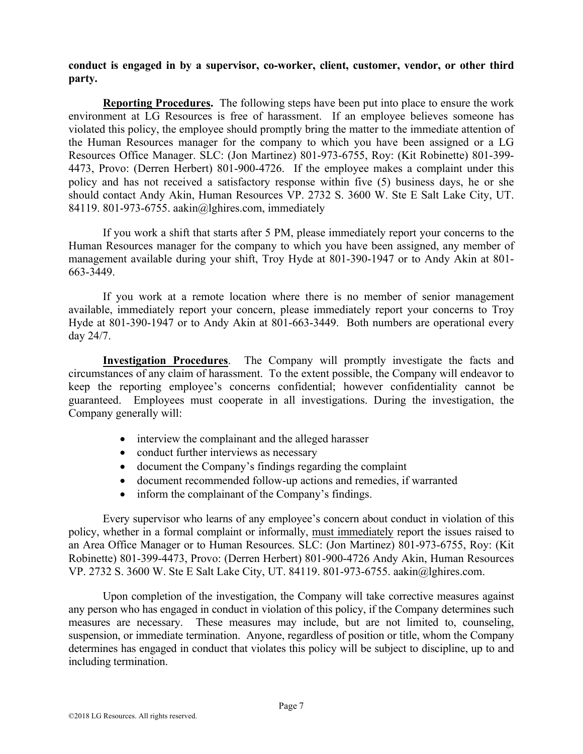**conduct is engaged in by a supervisor, co-worker, client, customer, vendor, or other third party.**

**Reporting Procedures.** The following steps have been put into place to ensure the work environment at LG Resources is free of harassment. If an employee believes someone has violated this policy, the employee should promptly bring the matter to the immediate attention of the Human Resources manager for the company to which you have been assigned or a LG Resources Office Manager. SLC: (Jon Martinez) 801-973-6755, Roy: (Kit Robinette) 801-399- 4473, Provo: (Derren Herbert) 801-900-4726. If the employee makes a complaint under this policy and has not received a satisfactory response within five (5) business days, he or she should contact Andy Akin, Human Resources VP. 2732 S. 3600 W. Ste E Salt Lake City, UT. 84119. 801-973-6755. aakin@lghires.com, immediately

If you work a shift that starts after 5 PM, please immediately report your concerns to the Human Resources manager for the company to which you have been assigned, any member of management available during your shift, Troy Hyde at 801-390-1947 or to Andy Akin at 801- 663-3449.

If you work at a remote location where there is no member of senior management available, immediately report your concern, please immediately report your concerns to Troy Hyde at 801-390-1947 or to Andy Akin at 801-663-3449. Both numbers are operational every day 24/7.

**Investigation Procedures**. The Company will promptly investigate the facts and circumstances of any claim of harassment. To the extent possible, the Company will endeavor to keep the reporting employee's concerns confidential; however confidentiality cannot be guaranteed. Employees must cooperate in all investigations. During the investigation, the Company generally will:

- interview the complainant and the alleged harasser
- conduct further interviews as necessary
- document the Company's findings regarding the complaint
- document recommended follow-up actions and remedies, if warranted
- inform the complainant of the Company's findings.

Every supervisor who learns of any employee's concern about conduct in violation of this policy, whether in a formal complaint or informally, must immediately report the issues raised to an Area Office Manager or to Human Resources. SLC: (Jon Martinez) 801-973-6755, Roy: (Kit Robinette) 801-399-4473, Provo: (Derren Herbert) 801-900-4726 Andy Akin, Human Resources VP. 2732 S. 3600 W. Ste E Salt Lake City, UT. 84119. 801-973-6755. aakin@lghires.com.

Upon completion of the investigation, the Company will take corrective measures against any person who has engaged in conduct in violation of this policy, if the Company determines such measures are necessary. These measures may include, but are not limited to, counseling, suspension, or immediate termination. Anyone, regardless of position or title, whom the Company determines has engaged in conduct that violates this policy will be subject to discipline, up to and including termination.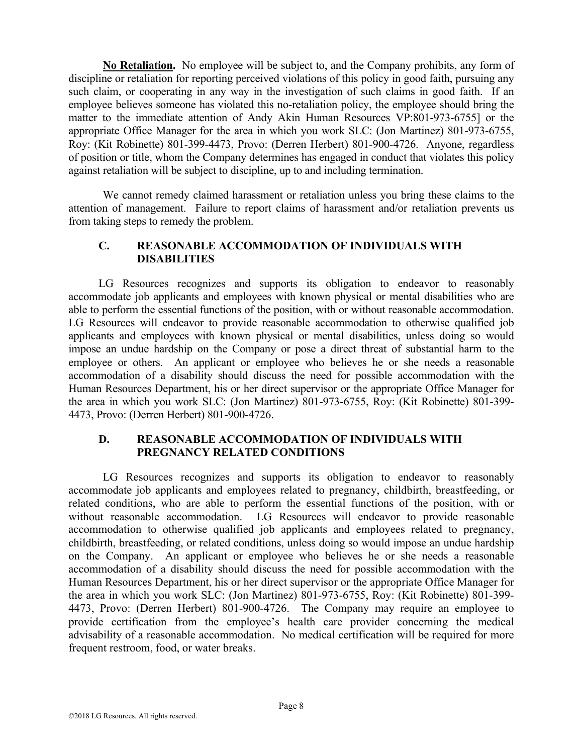**No Retaliation.** No employee will be subject to, and the Company prohibits, any form of discipline or retaliation for reporting perceived violations of this policy in good faith, pursuing any such claim, or cooperating in any way in the investigation of such claims in good faith. If an employee believes someone has violated this no-retaliation policy, the employee should bring the matter to the immediate attention of Andy Akin Human Resources VP:801-973-6755] or the appropriate Office Manager for the area in which you work SLC: (Jon Martinez) 801-973-6755, Roy: (Kit Robinette) 801-399-4473, Provo: (Derren Herbert) 801-900-4726. Anyone, regardless of position or title, whom the Company determines has engaged in conduct that violates this policy against retaliation will be subject to discipline, up to and including termination.

We cannot remedy claimed harassment or retaliation unless you bring these claims to the attention of management. Failure to report claims of harassment and/or retaliation prevents us from taking steps to remedy the problem.

## **C. REASONABLE ACCOMMODATION OF INDIVIDUALS WITH DISABILITIES**

LG Resources recognizes and supports its obligation to endeavor to reasonably accommodate job applicants and employees with known physical or mental disabilities who are able to perform the essential functions of the position, with or without reasonable accommodation. LG Resources will endeavor to provide reasonable accommodation to otherwise qualified job applicants and employees with known physical or mental disabilities, unless doing so would impose an undue hardship on the Company or pose a direct threat of substantial harm to the employee or others. An applicant or employee who believes he or she needs a reasonable accommodation of a disability should discuss the need for possible accommodation with the Human Resources Department, his or her direct supervisor or the appropriate Office Manager for the area in which you work SLC: (Jon Martinez) 801-973-6755, Roy: (Kit Robinette) 801-399- 4473, Provo: (Derren Herbert) 801-900-4726.

### **D. REASONABLE ACCOMMODATION OF INDIVIDUALS WITH PREGNANCY RELATED CONDITIONS**

LG Resources recognizes and supports its obligation to endeavor to reasonably accommodate job applicants and employees related to pregnancy, childbirth, breastfeeding, or related conditions, who are able to perform the essential functions of the position, with or without reasonable accommodation. LG Resources will endeavor to provide reasonable accommodation to otherwise qualified job applicants and employees related to pregnancy, childbirth, breastfeeding, or related conditions, unless doing so would impose an undue hardship on the Company. An applicant or employee who believes he or she needs a reasonable accommodation of a disability should discuss the need for possible accommodation with the Human Resources Department, his or her direct supervisor or the appropriate Office Manager for the area in which you work SLC: (Jon Martinez) 801-973-6755, Roy: (Kit Robinette) 801-399- 4473, Provo: (Derren Herbert) 801-900-4726. The Company may require an employee to provide certification from the employee's health care provider concerning the medical advisability of a reasonable accommodation. No medical certification will be required for more frequent restroom, food, or water breaks.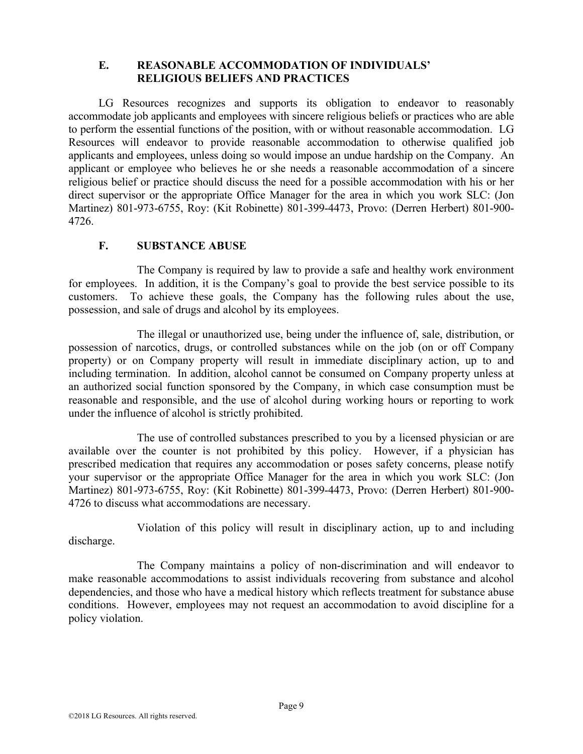### **E. REASONABLE ACCOMMODATION OF INDIVIDUALS' RELIGIOUS BELIEFS AND PRACTICES**

LG Resources recognizes and supports its obligation to endeavor to reasonably accommodate job applicants and employees with sincere religious beliefs or practices who are able to perform the essential functions of the position, with or without reasonable accommodation. LG Resources will endeavor to provide reasonable accommodation to otherwise qualified job applicants and employees, unless doing so would impose an undue hardship on the Company. An applicant or employee who believes he or she needs a reasonable accommodation of a sincere religious belief or practice should discuss the need for a possible accommodation with his or her direct supervisor or the appropriate Office Manager for the area in which you work SLC: (Jon Martinez) 801-973-6755, Roy: (Kit Robinette) 801-399-4473, Provo: (Derren Herbert) 801-900- 4726.

### **F. SUBSTANCE ABUSE**

The Company is required by law to provide a safe and healthy work environment for employees. In addition, it is the Company's goal to provide the best service possible to its customers. To achieve these goals, the Company has the following rules about the use, possession, and sale of drugs and alcohol by its employees.

The illegal or unauthorized use, being under the influence of, sale, distribution, or possession of narcotics, drugs, or controlled substances while on the job (on or off Company property) or on Company property will result in immediate disciplinary action, up to and including termination. In addition, alcohol cannot be consumed on Company property unless at an authorized social function sponsored by the Company, in which case consumption must be reasonable and responsible, and the use of alcohol during working hours or reporting to work under the influence of alcohol is strictly prohibited.

The use of controlled substances prescribed to you by a licensed physician or are available over the counter is not prohibited by this policy. However, if a physician has prescribed medication that requires any accommodation or poses safety concerns, please notify your supervisor or the appropriate Office Manager for the area in which you work SLC: (Jon Martinez) 801-973-6755, Roy: (Kit Robinette) 801-399-4473, Provo: (Derren Herbert) 801-900- 4726 to discuss what accommodations are necessary.

Violation of this policy will result in disciplinary action, up to and including discharge.

The Company maintains a policy of non-discrimination and will endeavor to make reasonable accommodations to assist individuals recovering from substance and alcohol dependencies, and those who have a medical history which reflects treatment for substance abuse conditions. However, employees may not request an accommodation to avoid discipline for a policy violation.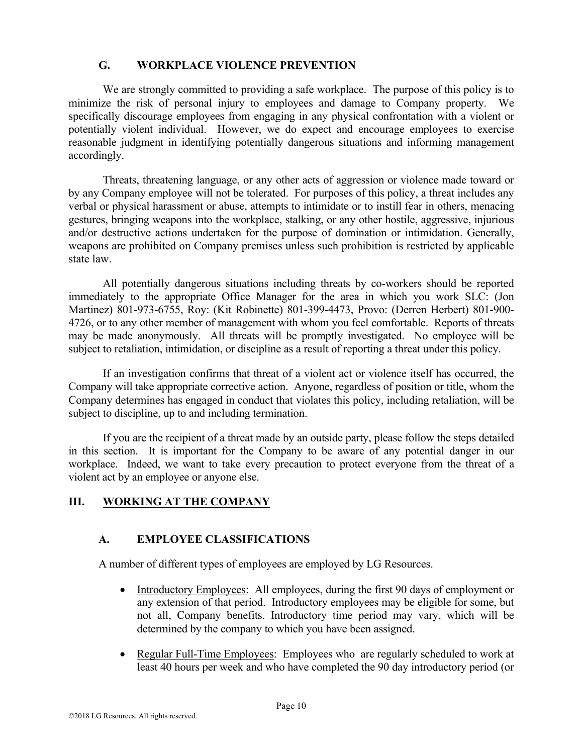### **G. WORKPLACE VIOLENCE PREVENTION**

We are strongly committed to providing a safe workplace. The purpose of this policy is to minimize the risk of personal injury to employees and damage to Company property. We specifically discourage employees from engaging in any physical confrontation with a violent or potentially violent individual. However, we do expect and encourage employees to exercise reasonable judgment in identifying potentially dangerous situations and informing management accordingly.

Threats, threatening language, or any other acts of aggression or violence made toward or by any Company employee will not be tolerated. For purposes of this policy, a threat includes any verbal or physical harassment or abuse, attempts to intimidate or to instill fear in others, menacing gestures, bringing weapons into the workplace, stalking, or any other hostile, aggressive, injurious and/or destructive actions undertaken for the purpose of domination or intimidation. Generally, weapons are prohibited on Company premises unless such prohibition is restricted by applicable state law.

All potentially dangerous situations including threats by co-workers should be reported immediately to the appropriate Office Manager for the area in which you work SLC: (Jon Martinez) 801-973-6755, Roy: (Kit Robinette) 801-399-4473, Provo: (Derren Herbert) 801-900- 4726, or to any other member of management with whom you feel comfortable. Reports of threats may be made anonymously. All threats will be promptly investigated. No employee will be subject to retaliation, intimidation, or discipline as a result of reporting a threat under this policy.

If an investigation confirms that threat of a violent act or violence itself has occurred, the Company will take appropriate corrective action. Anyone, regardless of position or title, whom the Company determines has engaged in conduct that violates this policy, including retaliation, will be subject to discipline, up to and including termination.

If you are the recipient of a threat made by an outside party, please follow the steps detailed in this section. It is important for the Company to be aware of any potential danger in our workplace. Indeed, we want to take every precaution to protect everyone from the threat of a violent act by an employee or anyone else.

# **III. WORKING AT THE COMPANY**

# **A. EMPLOYEE CLASSIFICATIONS**

A number of different types of employees are employed by LG Resources.

- Introductory Employees: All employees, during the first 90 days of employment or any extension of that period. Introductory employees may be eligible for some, but not all, Company benefits. Introductory time period may vary, which will be determined by the company to which you have been assigned.
- Regular Full-Time Employees: Employees who are regularly scheduled to work at least 40 hours per week and who have completed the 90 day introductory period (or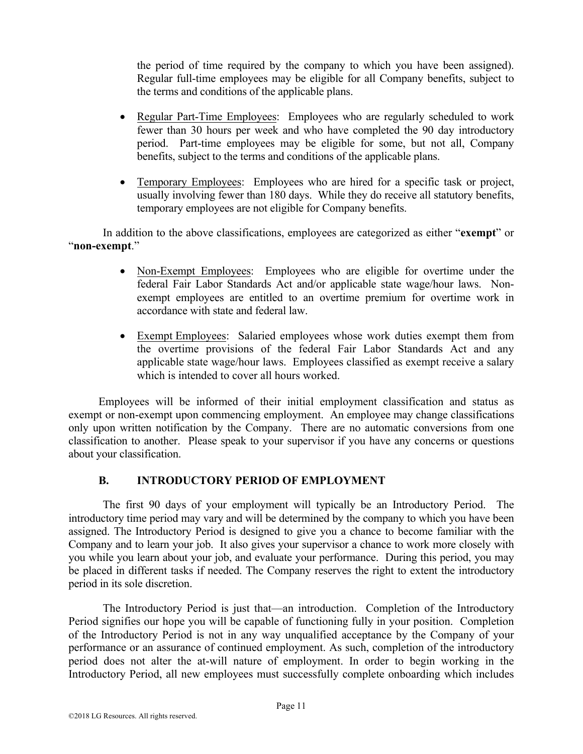the period of time required by the company to which you have been assigned). Regular full-time employees may be eligible for all Company benefits, subject to the terms and conditions of the applicable plans.

- Regular Part-Time Employees: Employees who are regularly scheduled to work fewer than 30 hours per week and who have completed the 90 day introductory period. Part-time employees may be eligible for some, but not all, Company benefits, subject to the terms and conditions of the applicable plans.
- Temporary Employees: Employees who are hired for a specific task or project, usually involving fewer than 180 days. While they do receive all statutory benefits, temporary employees are not eligible for Company benefits.

In addition to the above classifications, employees are categorized as either "**exempt**" or "**non-exempt**."

- Non-Exempt Employees: Employees who are eligible for overtime under the federal Fair Labor Standards Act and/or applicable state wage/hour laws. Nonexempt employees are entitled to an overtime premium for overtime work in accordance with state and federal law.
- Exempt Employees: Salaried employees whose work duties exempt them from the overtime provisions of the federal Fair Labor Standards Act and any applicable state wage/hour laws. Employees classified as exempt receive a salary which is intended to cover all hours worked.

Employees will be informed of their initial employment classification and status as exempt or non-exempt upon commencing employment. An employee may change classifications only upon written notification by the Company. There are no automatic conversions from one classification to another. Please speak to your supervisor if you have any concerns or questions about your classification.

# **B. INTRODUCTORY PERIOD OF EMPLOYMENT**

The first 90 days of your employment will typically be an Introductory Period. The introductory time period may vary and will be determined by the company to which you have been assigned. The Introductory Period is designed to give you a chance to become familiar with the Company and to learn your job. It also gives your supervisor a chance to work more closely with you while you learn about your job, and evaluate your performance. During this period, you may be placed in different tasks if needed. The Company reserves the right to extent the introductory period in its sole discretion.

The Introductory Period is just that—an introduction. Completion of the Introductory Period signifies our hope you will be capable of functioning fully in your position. Completion of the Introductory Period is not in any way unqualified acceptance by the Company of your performance or an assurance of continued employment. As such, completion of the introductory period does not alter the at-will nature of employment. In order to begin working in the Introductory Period, all new employees must successfully complete onboarding which includes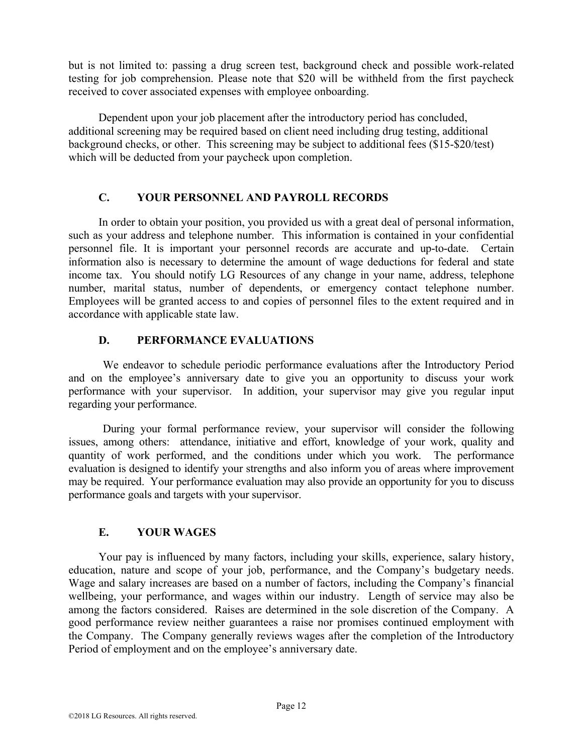but is not limited to: passing a drug screen test, background check and possible work-related testing for job comprehension. Please note that \$20 will be withheld from the first paycheck received to cover associated expenses with employee onboarding.

Dependent upon your job placement after the introductory period has concluded, additional screening may be required based on client need including drug testing, additional background checks, or other. This screening may be subject to additional fees (\$15-\$20/test) which will be deducted from your paycheck upon completion.

# **C. YOUR PERSONNEL AND PAYROLL RECORDS**

In order to obtain your position, you provided us with a great deal of personal information, such as your address and telephone number. This information is contained in your confidential personnel file. It is important your personnel records are accurate and up-to-date. Certain information also is necessary to determine the amount of wage deductions for federal and state income tax. You should notify LG Resources of any change in your name, address, telephone number, marital status, number of dependents, or emergency contact telephone number. Employees will be granted access to and copies of personnel files to the extent required and in accordance with applicable state law.

# **D. PERFORMANCE EVALUATIONS**

We endeavor to schedule periodic performance evaluations after the Introductory Period and on the employee's anniversary date to give you an opportunity to discuss your work performance with your supervisor. In addition, your supervisor may give you regular input regarding your performance.

During your formal performance review, your supervisor will consider the following issues, among others: attendance, initiative and effort, knowledge of your work, quality and quantity of work performed, and the conditions under which you work. The performance evaluation is designed to identify your strengths and also inform you of areas where improvement may be required. Your performance evaluation may also provide an opportunity for you to discuss performance goals and targets with your supervisor.

# **E. YOUR WAGES**

Your pay is influenced by many factors, including your skills, experience, salary history, education, nature and scope of your job, performance, and the Company's budgetary needs. Wage and salary increases are based on a number of factors, including the Company's financial wellbeing, your performance, and wages within our industry. Length of service may also be among the factors considered. Raises are determined in the sole discretion of the Company. A good performance review neither guarantees a raise nor promises continued employment with the Company. The Company generally reviews wages after the completion of the Introductory Period of employment and on the employee's anniversary date.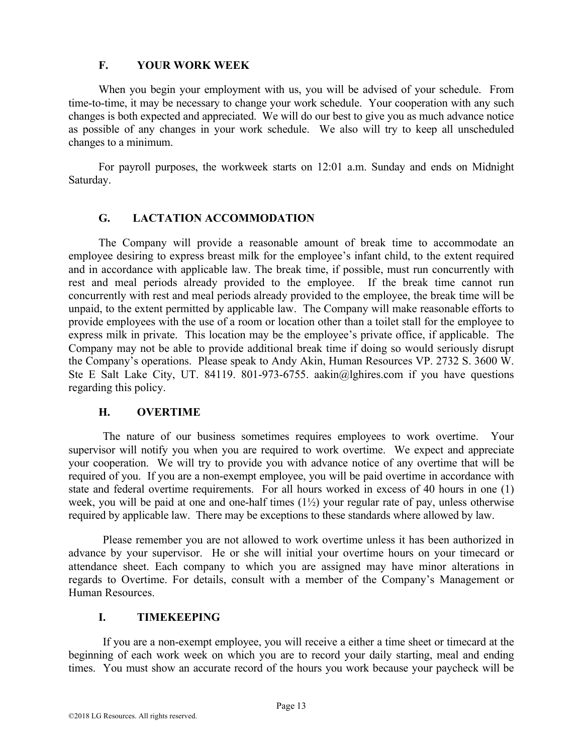# **F. YOUR WORK WEEK**

When you begin your employment with us, you will be advised of your schedule. From time-to-time, it may be necessary to change your work schedule. Your cooperation with any such changes is both expected and appreciated. We will do our best to give you as much advance notice as possible of any changes in your work schedule. We also will try to keep all unscheduled changes to a minimum.

For payroll purposes, the workweek starts on 12:01 a.m. Sunday and ends on Midnight Saturday.

# **G. LACTATION ACCOMMODATION**

The Company will provide a reasonable amount of break time to accommodate an employee desiring to express breast milk for the employee's infant child, to the extent required and in accordance with applicable law. The break time, if possible, must run concurrently with rest and meal periods already provided to the employee. If the break time cannot run concurrently with rest and meal periods already provided to the employee, the break time will be unpaid, to the extent permitted by applicable law. The Company will make reasonable efforts to provide employees with the use of a room or location other than a toilet stall for the employee to express milk in private. This location may be the employee's private office, if applicable. The Company may not be able to provide additional break time if doing so would seriously disrupt the Company's operations. Please speak to Andy Akin, Human Resources VP. 2732 S. 3600 W. Ste E Salt Lake City, UT. 84119. 801-973-6755. aakin@lghires.com if you have questions regarding this policy.

#### **H. OVERTIME**

The nature of our business sometimes requires employees to work overtime. Your supervisor will notify you when you are required to work overtime. We expect and appreciate your cooperation. We will try to provide you with advance notice of any overtime that will be required of you. If you are a non-exempt employee, you will be paid overtime in accordance with state and federal overtime requirements. For all hours worked in excess of 40 hours in one (1) week, you will be paid at one and one-half times (1½) your regular rate of pay, unless otherwise required by applicable law. There may be exceptions to these standards where allowed by law.

Please remember you are not allowed to work overtime unless it has been authorized in advance by your supervisor. He or she will initial your overtime hours on your timecard or attendance sheet. Each company to which you are assigned may have minor alterations in regards to Overtime. For details, consult with a member of the Company's Management or Human Resources.

#### **I. TIMEKEEPING**

If you are a non-exempt employee, you will receive a either a time sheet or timecard at the beginning of each work week on which you are to record your daily starting, meal and ending times. You must show an accurate record of the hours you work because your paycheck will be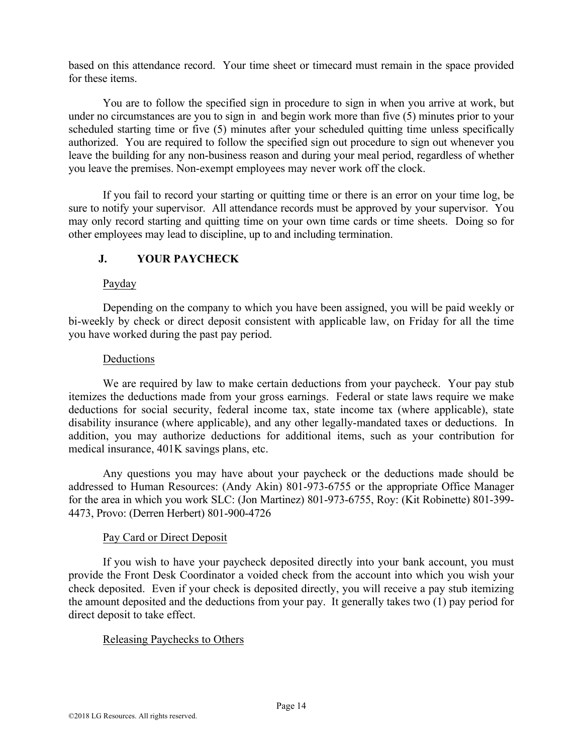based on this attendance record. Your time sheet or timecard must remain in the space provided for these items.

You are to follow the specified sign in procedure to sign in when you arrive at work, but under no circumstances are you to sign in and begin work more than five (5) minutes prior to your scheduled starting time or five (5) minutes after your scheduled quitting time unless specifically authorized. You are required to follow the specified sign out procedure to sign out whenever you leave the building for any non-business reason and during your meal period, regardless of whether you leave the premises. Non-exempt employees may never work off the clock.

If you fail to record your starting or quitting time or there is an error on your time log, be sure to notify your supervisor. All attendance records must be approved by your supervisor. You may only record starting and quitting time on your own time cards or time sheets. Doing so for other employees may lead to discipline, up to and including termination.

# **J. YOUR PAYCHECK**

### Payday

Depending on the company to which you have been assigned, you will be paid weekly or bi-weekly by check or direct deposit consistent with applicable law, on Friday for all the time you have worked during the past pay period.

### Deductions

We are required by law to make certain deductions from your paycheck. Your pay stub itemizes the deductions made from your gross earnings. Federal or state laws require we make deductions for social security, federal income tax, state income tax (where applicable), state disability insurance (where applicable), and any other legally-mandated taxes or deductions. In addition, you may authorize deductions for additional items, such as your contribution for medical insurance, 401K savings plans, etc.

Any questions you may have about your paycheck or the deductions made should be addressed to Human Resources: (Andy Akin) 801-973-6755 or the appropriate Office Manager for the area in which you work SLC: (Jon Martinez) 801-973-6755, Roy: (Kit Robinette) 801-399- 4473, Provo: (Derren Herbert) 801-900-4726

# Pay Card or Direct Deposit

If you wish to have your paycheck deposited directly into your bank account, you must provide the Front Desk Coordinator a voided check from the account into which you wish your check deposited. Even if your check is deposited directly, you will receive a pay stub itemizing the amount deposited and the deductions from your pay. It generally takes two (1) pay period for direct deposit to take effect.

# Releasing Paychecks to Others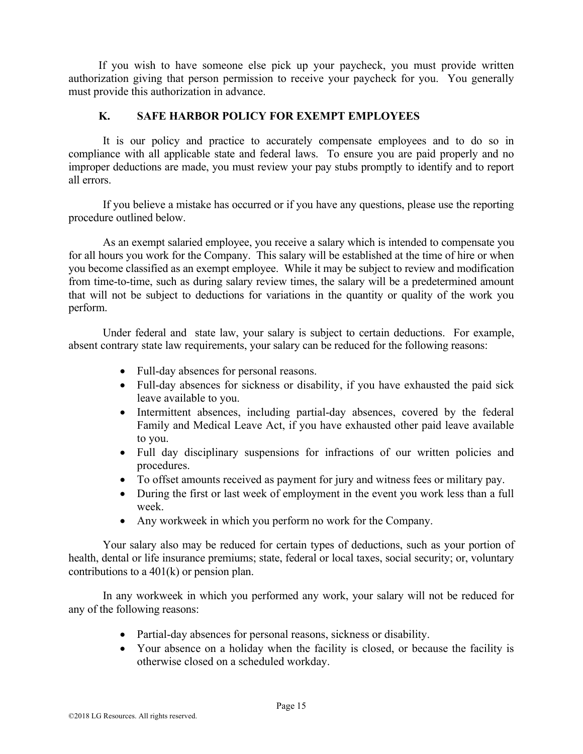If you wish to have someone else pick up your paycheck, you must provide written authorization giving that person permission to receive your paycheck for you. You generally must provide this authorization in advance.

## **K. SAFE HARBOR POLICY FOR EXEMPT EMPLOYEES**

It is our policy and practice to accurately compensate employees and to do so in compliance with all applicable state and federal laws. To ensure you are paid properly and no improper deductions are made, you must review your pay stubs promptly to identify and to report all errors.

If you believe a mistake has occurred or if you have any questions, please use the reporting procedure outlined below.

As an exempt salaried employee, you receive a salary which is intended to compensate you for all hours you work for the Company. This salary will be established at the time of hire or when you become classified as an exempt employee. While it may be subject to review and modification from time-to-time, such as during salary review times, the salary will be a predetermined amount that will not be subject to deductions for variations in the quantity or quality of the work you perform.

Under federal and state law, your salary is subject to certain deductions. For example, absent contrary state law requirements, your salary can be reduced for the following reasons:

- Full-day absences for personal reasons.
- Full-day absences for sickness or disability, if you have exhausted the paid sick leave available to you.
- Intermittent absences, including partial-day absences, covered by the federal Family and Medical Leave Act, if you have exhausted other paid leave available to you.
- Full day disciplinary suspensions for infractions of our written policies and procedures.
- To offset amounts received as payment for jury and witness fees or military pay.
- During the first or last week of employment in the event you work less than a full week.
- Any workweek in which you perform no work for the Company.

Your salary also may be reduced for certain types of deductions, such as your portion of health, dental or life insurance premiums; state, federal or local taxes, social security; or, voluntary contributions to a 401(k) or pension plan.

In any workweek in which you performed any work, your salary will not be reduced for any of the following reasons:

- Partial-day absences for personal reasons, sickness or disability.
- Your absence on a holiday when the facility is closed, or because the facility is otherwise closed on a scheduled workday.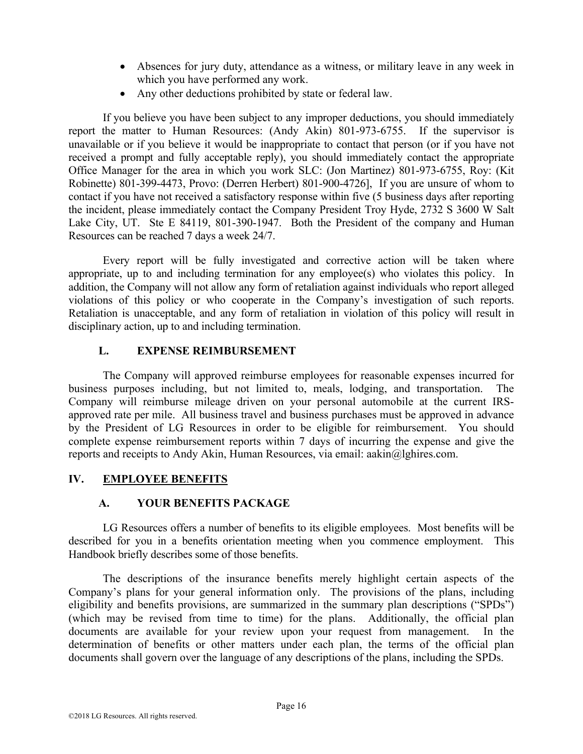- Absences for jury duty, attendance as a witness, or military leave in any week in which you have performed any work.
- Any other deductions prohibited by state or federal law.

If you believe you have been subject to any improper deductions, you should immediately report the matter to Human Resources: (Andy Akin) 801-973-6755. If the supervisor is unavailable or if you believe it would be inappropriate to contact that person (or if you have not received a prompt and fully acceptable reply), you should immediately contact the appropriate Office Manager for the area in which you work SLC: (Jon Martinez) 801-973-6755, Roy: (Kit Robinette) 801-399-4473, Provo: (Derren Herbert) 801-900-4726], If you are unsure of whom to contact if you have not received a satisfactory response within five (5 business days after reporting the incident, please immediately contact the Company President Troy Hyde, 2732 S 3600 W Salt Lake City, UT. Ste E 84119, 801-390-1947. Both the President of the company and Human Resources can be reached 7 days a week 24/7.

Every report will be fully investigated and corrective action will be taken where appropriate, up to and including termination for any employee(s) who violates this policy. In addition, the Company will not allow any form of retaliation against individuals who report alleged violations of this policy or who cooperate in the Company's investigation of such reports. Retaliation is unacceptable, and any form of retaliation in violation of this policy will result in disciplinary action, up to and including termination.

# **L. EXPENSE REIMBURSEMENT**

The Company will approved reimburse employees for reasonable expenses incurred for business purposes including, but not limited to, meals, lodging, and transportation. The Company will reimburse mileage driven on your personal automobile at the current IRSapproved rate per mile. All business travel and business purchases must be approved in advance by the President of LG Resources in order to be eligible for reimbursement. You should complete expense reimbursement reports within 7 days of incurring the expense and give the reports and receipts to Andy Akin, Human Resources, via email: aakin@lghires.com.

# **IV. EMPLOYEE BENEFITS**

# **A. YOUR BENEFITS PACKAGE**

LG Resources offers a number of benefits to its eligible employees. Most benefits will be described for you in a benefits orientation meeting when you commence employment. This Handbook briefly describes some of those benefits.

The descriptions of the insurance benefits merely highlight certain aspects of the Company's plans for your general information only. The provisions of the plans, including eligibility and benefits provisions, are summarized in the summary plan descriptions ("SPDs") (which may be revised from time to time) for the plans. Additionally, the official plan documents are available for your review upon your request from management. In the determination of benefits or other matters under each plan, the terms of the official plan documents shall govern over the language of any descriptions of the plans, including the SPDs.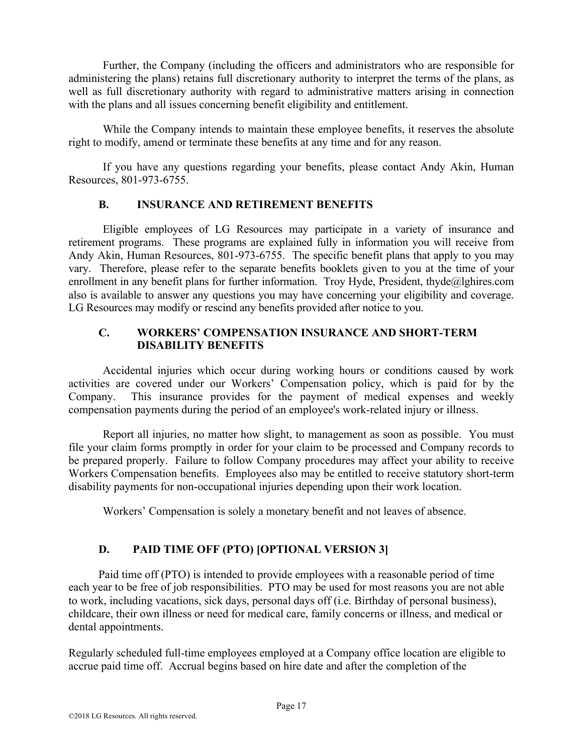Further, the Company (including the officers and administrators who are responsible for administering the plans) retains full discretionary authority to interpret the terms of the plans, as well as full discretionary authority with regard to administrative matters arising in connection with the plans and all issues concerning benefit eligibility and entitlement.

While the Company intends to maintain these employee benefits, it reserves the absolute right to modify, amend or terminate these benefits at any time and for any reason.

If you have any questions regarding your benefits, please contact Andy Akin, Human Resources, 801-973-6755.

### **B. INSURANCE AND RETIREMENT BENEFITS**

Eligible employees of LG Resources may participate in a variety of insurance and retirement programs. These programs are explained fully in information you will receive from Andy Akin, Human Resources, 801-973-6755. The specific benefit plans that apply to you may vary. Therefore, please refer to the separate benefits booklets given to you at the time of your enrollment in any benefit plans for further information. Troy Hyde, President, thyde@lghires.com also is available to answer any questions you may have concerning your eligibility and coverage. LG Resources may modify or rescind any benefits provided after notice to you.

### **C. WORKERS' COMPENSATION INSURANCE AND SHORT-TERM DISABILITY BENEFITS**

Accidental injuries which occur during working hours or conditions caused by work activities are covered under our Workers' Compensation policy, which is paid for by the Company. This insurance provides for the payment of medical expenses and weekly compensation payments during the period of an employee's work-related injury or illness.

Report all injuries, no matter how slight, to management as soon as possible. You must file your claim forms promptly in order for your claim to be processed and Company records to be prepared properly. Failure to follow Company procedures may affect your ability to receive Workers Compensation benefits. Employees also may be entitled to receive statutory short-term disability payments for non-occupational injuries depending upon their work location.

Workers' Compensation is solely a monetary benefit and not leaves of absence.

# **D. PAID TIME OFF (PTO) [OPTIONAL VERSION 3]**

Paid time off (PTO) is intended to provide employees with a reasonable period of time each year to be free of job responsibilities. PTO may be used for most reasons you are not able to work, including vacations, sick days, personal days off (i.e. Birthday of personal business), childcare, their own illness or need for medical care, family concerns or illness, and medical or dental appointments.

Regularly scheduled full-time employees employed at a Company office location are eligible to accrue paid time off. Accrual begins based on hire date and after the completion of the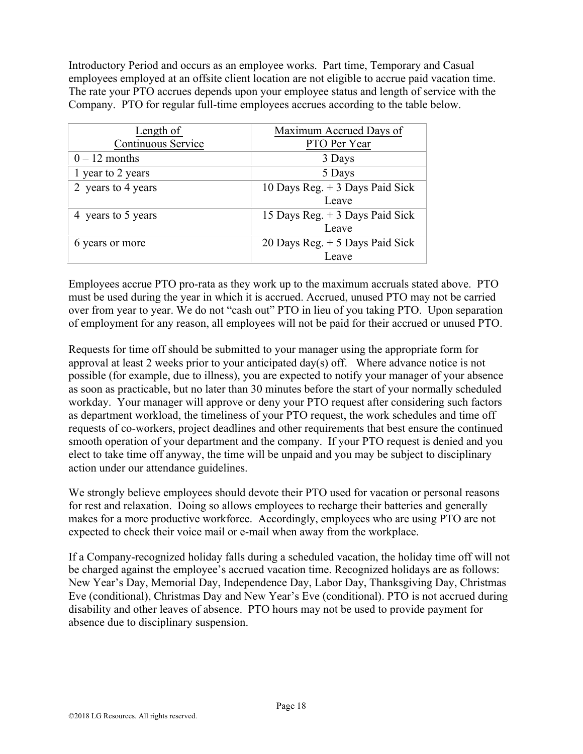Introductory Period and occurs as an employee works. Part time, Temporary and Casual employees employed at an offsite client location are not eligible to accrue paid vacation time. The rate your PTO accrues depends upon your employee status and length of service with the Company. PTO for regular full-time employees accrues according to the table below.

| Length of          | Maximum Accrued Days of         |
|--------------------|---------------------------------|
| Continuous Service | PTO Per Year                    |
| $0-12$ months      | 3 Days                          |
| 1 year to 2 years  | 5 Days                          |
| 2 years to 4 years | 10 Days Reg. + 3 Days Paid Sick |
|                    | Leave                           |
| 4 years to 5 years | 15 Days Reg. + 3 Days Paid Sick |
|                    | Leave                           |
| 6 years or more    | 20 Days Reg. + 5 Days Paid Sick |
|                    | Leave                           |

Employees accrue PTO pro-rata as they work up to the maximum accruals stated above. PTO must be used during the year in which it is accrued. Accrued, unused PTO may not be carried over from year to year. We do not "cash out" PTO in lieu of you taking PTO. Upon separation of employment for any reason, all employees will not be paid for their accrued or unused PTO.

Requests for time off should be submitted to your manager using the appropriate form for approval at least 2 weeks prior to your anticipated day(s) off. Where advance notice is not possible (for example, due to illness), you are expected to notify your manager of your absence as soon as practicable, but no later than 30 minutes before the start of your normally scheduled workday. Your manager will approve or deny your PTO request after considering such factors as department workload, the timeliness of your PTO request, the work schedules and time off requests of co-workers, project deadlines and other requirements that best ensure the continued smooth operation of your department and the company. If your PTO request is denied and you elect to take time off anyway, the time will be unpaid and you may be subject to disciplinary action under our attendance guidelines.

We strongly believe employees should devote their PTO used for vacation or personal reasons for rest and relaxation. Doing so allows employees to recharge their batteries and generally makes for a more productive workforce. Accordingly, employees who are using PTO are not expected to check their voice mail or e-mail when away from the workplace.

If a Company-recognized holiday falls during a scheduled vacation, the holiday time off will not be charged against the employee's accrued vacation time. Recognized holidays are as follows: New Year's Day, Memorial Day, Independence Day, Labor Day, Thanksgiving Day, Christmas Eve (conditional), Christmas Day and New Year's Eve (conditional). PTO is not accrued during disability and other leaves of absence. PTO hours may not be used to provide payment for absence due to disciplinary suspension.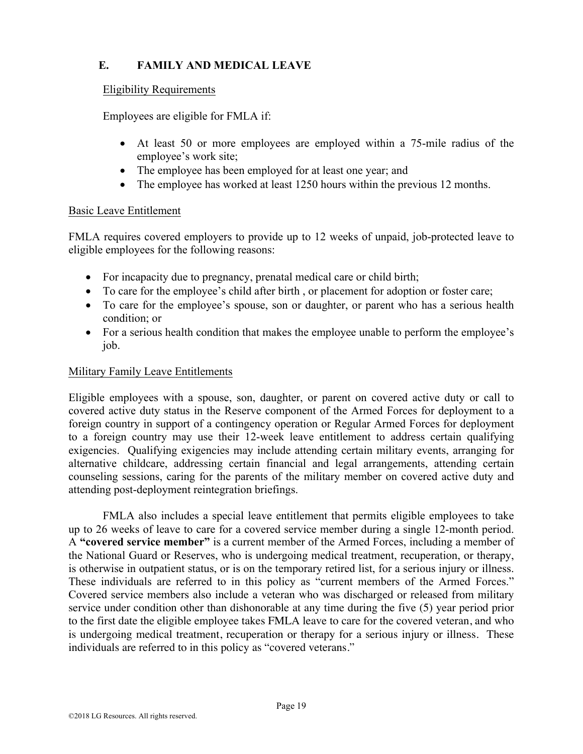# **E. FAMILY AND MEDICAL LEAVE**

### Eligibility Requirements

Employees are eligible for FMLA if:

- At least 50 or more employees are employed within a 75-mile radius of the employee's work site;
- The employee has been employed for at least one year; and
- The employee has worked at least 1250 hours within the previous 12 months.

# Basic Leave Entitlement

FMLA requires covered employers to provide up to 12 weeks of unpaid, job-protected leave to eligible employees for the following reasons:

- For incapacity due to pregnancy, prenatal medical care or child birth;
- To care for the employee's child after birth, or placement for adoption or foster care;
- To care for the employee's spouse, son or daughter, or parent who has a serious health condition; or
- For a serious health condition that makes the employee unable to perform the employee's job.

# Military Family Leave Entitlements

Eligible employees with a spouse, son, daughter, or parent on covered active duty or call to covered active duty status in the Reserve component of the Armed Forces for deployment to a foreign country in support of a contingency operation or Regular Armed Forces for deployment to a foreign country may use their 12-week leave entitlement to address certain qualifying exigencies. Qualifying exigencies may include attending certain military events, arranging for alternative childcare, addressing certain financial and legal arrangements, attending certain counseling sessions, caring for the parents of the military member on covered active duty and attending post-deployment reintegration briefings.

FMLA also includes a special leave entitlement that permits eligible employees to take up to 26 weeks of leave to care for a covered service member during a single 12-month period. A **"covered service member"** is a current member of the Armed Forces, including a member of the National Guard or Reserves, who is undergoing medical treatment, recuperation, or therapy, is otherwise in outpatient status, or is on the temporary retired list, for a serious injury or illness. These individuals are referred to in this policy as "current members of the Armed Forces." Covered service members also include a veteran who was discharged or released from military service under condition other than dishonorable at any time during the five (5) year period prior to the first date the eligible employee takes FMLA leave to care for the covered veteran, and who is undergoing medical treatment, recuperation or therapy for a serious injury or illness. These individuals are referred to in this policy as "covered veterans."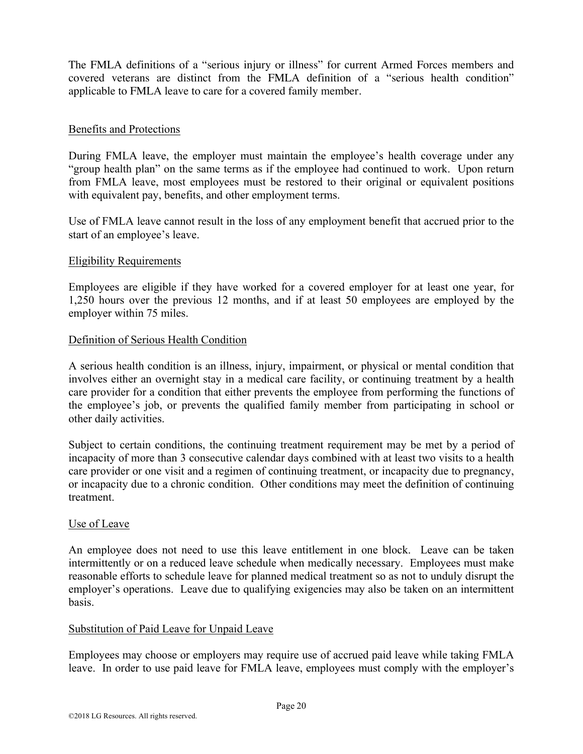The FMLA definitions of a "serious injury or illness" for current Armed Forces members and covered veterans are distinct from the FMLA definition of a "serious health condition" applicable to FMLA leave to care for a covered family member.

#### Benefits and Protections

During FMLA leave, the employer must maintain the employee's health coverage under any "group health plan" on the same terms as if the employee had continued to work. Upon return from FMLA leave, most employees must be restored to their original or equivalent positions with equivalent pay, benefits, and other employment terms.

Use of FMLA leave cannot result in the loss of any employment benefit that accrued prior to the start of an employee's leave.

#### Eligibility Requirements

Employees are eligible if they have worked for a covered employer for at least one year, for 1,250 hours over the previous 12 months, and if at least 50 employees are employed by the employer within 75 miles.

### Definition of Serious Health Condition

A serious health condition is an illness, injury, impairment, or physical or mental condition that involves either an overnight stay in a medical care facility, or continuing treatment by a health care provider for a condition that either prevents the employee from performing the functions of the employee's job, or prevents the qualified family member from participating in school or other daily activities.

Subject to certain conditions, the continuing treatment requirement may be met by a period of incapacity of more than 3 consecutive calendar days combined with at least two visits to a health care provider or one visit and a regimen of continuing treatment, or incapacity due to pregnancy, or incapacity due to a chronic condition. Other conditions may meet the definition of continuing treatment.

#### Use of Leave

An employee does not need to use this leave entitlement in one block. Leave can be taken intermittently or on a reduced leave schedule when medically necessary. Employees must make reasonable efforts to schedule leave for planned medical treatment so as not to unduly disrupt the employer's operations. Leave due to qualifying exigencies may also be taken on an intermittent basis.

#### Substitution of Paid Leave for Unpaid Leave

Employees may choose or employers may require use of accrued paid leave while taking FMLA leave. In order to use paid leave for FMLA leave, employees must comply with the employer's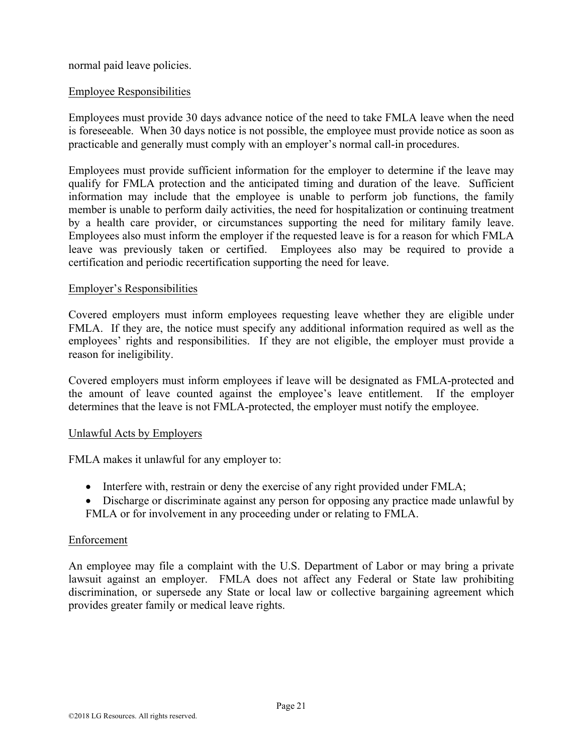normal paid leave policies.

### Employee Responsibilities

Employees must provide 30 days advance notice of the need to take FMLA leave when the need is foreseeable. When 30 days notice is not possible, the employee must provide notice as soon as practicable and generally must comply with an employer's normal call-in procedures.

Employees must provide sufficient information for the employer to determine if the leave may qualify for FMLA protection and the anticipated timing and duration of the leave. Sufficient information may include that the employee is unable to perform job functions, the family member is unable to perform daily activities, the need for hospitalization or continuing treatment by a health care provider, or circumstances supporting the need for military family leave. Employees also must inform the employer if the requested leave is for a reason for which FMLA leave was previously taken or certified. Employees also may be required to provide a certification and periodic recertification supporting the need for leave.

#### Employer's Responsibilities

Covered employers must inform employees requesting leave whether they are eligible under FMLA. If they are, the notice must specify any additional information required as well as the employees' rights and responsibilities. If they are not eligible, the employer must provide a reason for ineligibility.

Covered employers must inform employees if leave will be designated as FMLA-protected and the amount of leave counted against the employee's leave entitlement. If the employer determines that the leave is not FMLA-protected, the employer must notify the employee.

#### Unlawful Acts by Employers

FMLA makes it unlawful for any employer to:

- Interfere with, restrain or deny the exercise of any right provided under FMLA;
- Discharge or discriminate against any person for opposing any practice made unlawful by FMLA or for involvement in any proceeding under or relating to FMLA.

#### Enforcement

An employee may file a complaint with the U.S. Department of Labor or may bring a private lawsuit against an employer. FMLA does not affect any Federal or State law prohibiting discrimination, or supersede any State or local law or collective bargaining agreement which provides greater family or medical leave rights.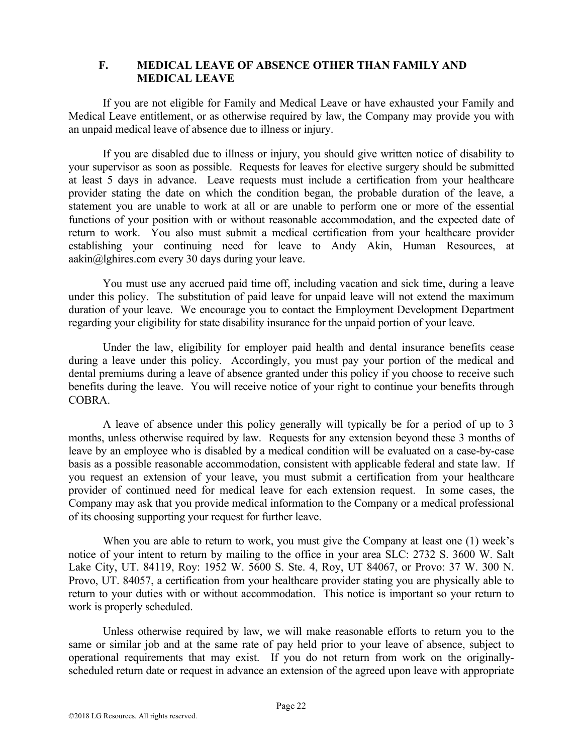#### **F. MEDICAL LEAVE OF ABSENCE OTHER THAN FAMILY AND MEDICAL LEAVE**

If you are not eligible for Family and Medical Leave or have exhausted your Family and Medical Leave entitlement, or as otherwise required by law, the Company may provide you with an unpaid medical leave of absence due to illness or injury.

If you are disabled due to illness or injury, you should give written notice of disability to your supervisor as soon as possible. Requests for leaves for elective surgery should be submitted at least 5 days in advance. Leave requests must include a certification from your healthcare provider stating the date on which the condition began, the probable duration of the leave, a statement you are unable to work at all or are unable to perform one or more of the essential functions of your position with or without reasonable accommodation, and the expected date of return to work. You also must submit a medical certification from your healthcare provider establishing your continuing need for leave to Andy Akin, Human Resources, at aakin@lghires.com every 30 days during your leave.

You must use any accrued paid time off, including vacation and sick time, during a leave under this policy. The substitution of paid leave for unpaid leave will not extend the maximum duration of your leave. We encourage you to contact the Employment Development Department regarding your eligibility for state disability insurance for the unpaid portion of your leave.

Under the law, eligibility for employer paid health and dental insurance benefits cease during a leave under this policy. Accordingly, you must pay your portion of the medical and dental premiums during a leave of absence granted under this policy if you choose to receive such benefits during the leave. You will receive notice of your right to continue your benefits through COBRA.

A leave of absence under this policy generally will typically be for a period of up to 3 months, unless otherwise required by law. Requests for any extension beyond these 3 months of leave by an employee who is disabled by a medical condition will be evaluated on a case-by-case basis as a possible reasonable accommodation, consistent with applicable federal and state law. If you request an extension of your leave, you must submit a certification from your healthcare provider of continued need for medical leave for each extension request. In some cases, the Company may ask that you provide medical information to the Company or a medical professional of its choosing supporting your request for further leave.

When you are able to return to work, you must give the Company at least one (1) week's notice of your intent to return by mailing to the office in your area SLC: 2732 S. 3600 W. Salt Lake City, UT. 84119, Roy: 1952 W. 5600 S. Ste. 4, Roy, UT 84067, or Provo: 37 W. 300 N. Provo, UT. 84057, a certification from your healthcare provider stating you are physically able to return to your duties with or without accommodation. This notice is important so your return to work is properly scheduled.

Unless otherwise required by law, we will make reasonable efforts to return you to the same or similar job and at the same rate of pay held prior to your leave of absence, subject to operational requirements that may exist. If you do not return from work on the originallyscheduled return date or request in advance an extension of the agreed upon leave with appropriate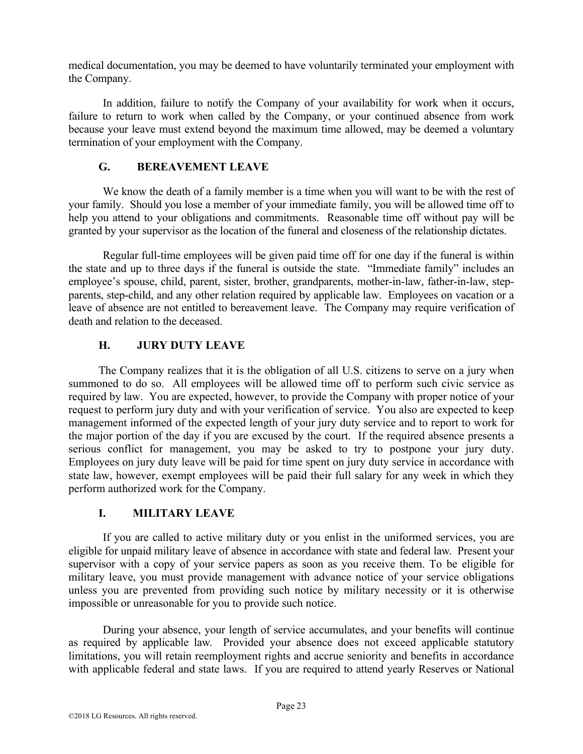medical documentation, you may be deemed to have voluntarily terminated your employment with the Company.

In addition, failure to notify the Company of your availability for work when it occurs, failure to return to work when called by the Company, or your continued absence from work because your leave must extend beyond the maximum time allowed, may be deemed a voluntary termination of your employment with the Company.

# **G. BEREAVEMENT LEAVE**

We know the death of a family member is a time when you will want to be with the rest of your family. Should you lose a member of your immediate family, you will be allowed time off to help you attend to your obligations and commitments. Reasonable time off without pay will be granted by your supervisor as the location of the funeral and closeness of the relationship dictates.

Regular full-time employees will be given paid time off for one day if the funeral is within the state and up to three days if the funeral is outside the state. "Immediate family" includes an employee's spouse, child, parent, sister, brother, grandparents, mother-in-law, father-in-law, stepparents, step-child, and any other relation required by applicable law. Employees on vacation or a leave of absence are not entitled to bereavement leave. The Company may require verification of death and relation to the deceased.

# **H. JURY DUTY LEAVE**

The Company realizes that it is the obligation of all U.S. citizens to serve on a jury when summoned to do so. All employees will be allowed time off to perform such civic service as required by law. You are expected, however, to provide the Company with proper notice of your request to perform jury duty and with your verification of service. You also are expected to keep management informed of the expected length of your jury duty service and to report to work for the major portion of the day if you are excused by the court. If the required absence presents a serious conflict for management, you may be asked to try to postpone your jury duty. Employees on jury duty leave will be paid for time spent on jury duty service in accordance with state law, however, exempt employees will be paid their full salary for any week in which they perform authorized work for the Company.

# **I. MILITARY LEAVE**

If you are called to active military duty or you enlist in the uniformed services, you are eligible for unpaid military leave of absence in accordance with state and federal law. Present your supervisor with a copy of your service papers as soon as you receive them. To be eligible for military leave, you must provide management with advance notice of your service obligations unless you are prevented from providing such notice by military necessity or it is otherwise impossible or unreasonable for you to provide such notice.

During your absence, your length of service accumulates, and your benefits will continue as required by applicable law. Provided your absence does not exceed applicable statutory limitations, you will retain reemployment rights and accrue seniority and benefits in accordance with applicable federal and state laws. If you are required to attend yearly Reserves or National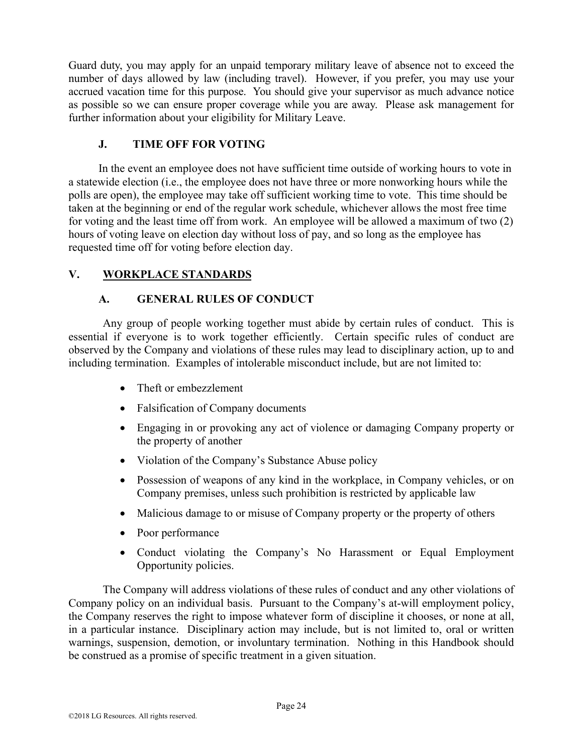Guard duty, you may apply for an unpaid temporary military leave of absence not to exceed the number of days allowed by law (including travel). However, if you prefer, you may use your accrued vacation time for this purpose. You should give your supervisor as much advance notice as possible so we can ensure proper coverage while you are away. Please ask management for further information about your eligibility for Military Leave.

# **J. TIME OFF FOR VOTING**

In the event an employee does not have sufficient time outside of working hours to vote in a statewide election (i.e., the employee does not have three or more nonworking hours while the polls are open), the employee may take off sufficient working time to vote. This time should be taken at the beginning or end of the regular work schedule, whichever allows the most free time for voting and the least time off from work. An employee will be allowed a maximum of two (2) hours of voting leave on election day without loss of pay, and so long as the employee has requested time off for voting before election day.

# **V. WORKPLACE STANDARDS**

# **A. GENERAL RULES OF CONDUCT**

Any group of people working together must abide by certain rules of conduct. This is essential if everyone is to work together efficiently. Certain specific rules of conduct are observed by the Company and violations of these rules may lead to disciplinary action, up to and including termination. Examples of intolerable misconduct include, but are not limited to:

- Theft or embezzlement
- Falsification of Company documents
- Engaging in or provoking any act of violence or damaging Company property or the property of another
- Violation of the Company's Substance Abuse policy
- Possession of weapons of any kind in the workplace, in Company vehicles, or on Company premises, unless such prohibition is restricted by applicable law
- Malicious damage to or misuse of Company property or the property of others
- Poor performance
- Conduct violating the Company's No Harassment or Equal Employment Opportunity policies.

The Company will address violations of these rules of conduct and any other violations of Company policy on an individual basis. Pursuant to the Company's at-will employment policy, the Company reserves the right to impose whatever form of discipline it chooses, or none at all, in a particular instance. Disciplinary action may include, but is not limited to, oral or written warnings, suspension, demotion, or involuntary termination. Nothing in this Handbook should be construed as a promise of specific treatment in a given situation.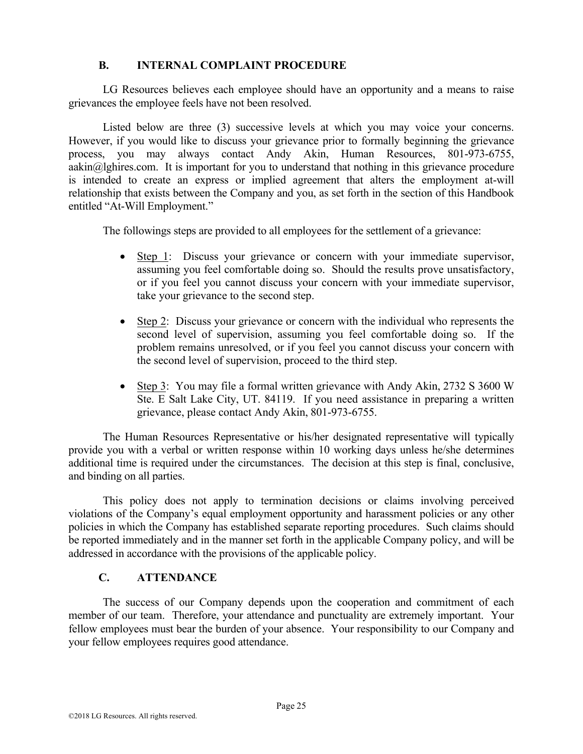# **B. INTERNAL COMPLAINT PROCEDURE**

LG Resources believes each employee should have an opportunity and a means to raise grievances the employee feels have not been resolved.

Listed below are three (3) successive levels at which you may voice your concerns. However, if you would like to discuss your grievance prior to formally beginning the grievance process, you may always contact Andy Akin, Human Resources, 801-973-6755, aakin@lghires.com. It is important for you to understand that nothing in this grievance procedure is intended to create an express or implied agreement that alters the employment at-will relationship that exists between the Company and you, as set forth in the section of this Handbook entitled "At-Will Employment."

The followings steps are provided to all employees for the settlement of a grievance:

- Step 1: Discuss your grievance or concern with your immediate supervisor, assuming you feel comfortable doing so. Should the results prove unsatisfactory, or if you feel you cannot discuss your concern with your immediate supervisor, take your grievance to the second step.
- Step 2: Discuss your grievance or concern with the individual who represents the second level of supervision, assuming you feel comfortable doing so. If the problem remains unresolved, or if you feel you cannot discuss your concern with the second level of supervision, proceed to the third step.
- Step 3: You may file a formal written grievance with Andy Akin, 2732 S 3600 W Ste. E Salt Lake City, UT. 84119. If you need assistance in preparing a written grievance, please contact Andy Akin, 801-973-6755.

The Human Resources Representative or his/her designated representative will typically provide you with a verbal or written response within 10 working days unless he/she determines additional time is required under the circumstances. The decision at this step is final, conclusive, and binding on all parties.

This policy does not apply to termination decisions or claims involving perceived violations of the Company's equal employment opportunity and harassment policies or any other policies in which the Company has established separate reporting procedures. Such claims should be reported immediately and in the manner set forth in the applicable Company policy, and will be addressed in accordance with the provisions of the applicable policy.

# **C. ATTENDANCE**

The success of our Company depends upon the cooperation and commitment of each member of our team. Therefore, your attendance and punctuality are extremely important. Your fellow employees must bear the burden of your absence. Your responsibility to our Company and your fellow employees requires good attendance.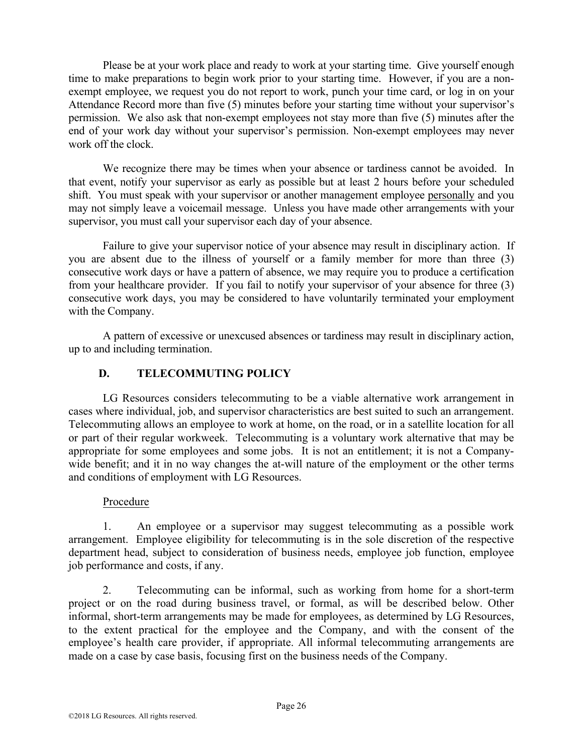Please be at your work place and ready to work at your starting time. Give yourself enough time to make preparations to begin work prior to your starting time. However, if you are a nonexempt employee, we request you do not report to work, punch your time card, or log in on your Attendance Record more than five (5) minutes before your starting time without your supervisor's permission. We also ask that non-exempt employees not stay more than five (5) minutes after the end of your work day without your supervisor's permission. Non-exempt employees may never work off the clock.

We recognize there may be times when your absence or tardiness cannot be avoided. In that event, notify your supervisor as early as possible but at least 2 hours before your scheduled shift. You must speak with your supervisor or another management employee personally and you may not simply leave a voicemail message. Unless you have made other arrangements with your supervisor, you must call your supervisor each day of your absence.

Failure to give your supervisor notice of your absence may result in disciplinary action. If you are absent due to the illness of yourself or a family member for more than three (3) consecutive work days or have a pattern of absence, we may require you to produce a certification from your healthcare provider. If you fail to notify your supervisor of your absence for three (3) consecutive work days, you may be considered to have voluntarily terminated your employment with the Company.

A pattern of excessive or unexcused absences or tardiness may result in disciplinary action, up to and including termination.

# **D. TELECOMMUTING POLICY**

LG Resources considers telecommuting to be a viable alternative work arrangement in cases where individual, job, and supervisor characteristics are best suited to such an arrangement. Telecommuting allows an employee to work at home, on the road, or in a satellite location for all or part of their regular workweek. Telecommuting is a voluntary work alternative that may be appropriate for some employees and some jobs. It is not an entitlement; it is not a Companywide benefit; and it in no way changes the at-will nature of the employment or the other terms and conditions of employment with LG Resources.

# Procedure

1. An employee or a supervisor may suggest telecommuting as a possible work arrangement. Employee eligibility for telecommuting is in the sole discretion of the respective department head, subject to consideration of business needs, employee job function, employee job performance and costs, if any.

2. Telecommuting can be informal, such as working from home for a short-term project or on the road during business travel, or formal, as will be described below. Other informal, short-term arrangements may be made for employees, as determined by LG Resources, to the extent practical for the employee and the Company, and with the consent of the employee's health care provider, if appropriate. All informal telecommuting arrangements are made on a case by case basis, focusing first on the business needs of the Company.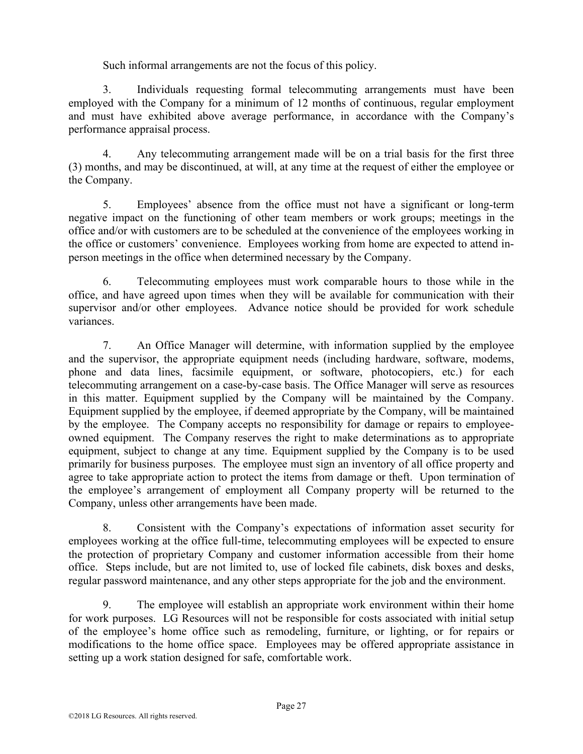Such informal arrangements are not the focus of this policy.

3. Individuals requesting formal telecommuting arrangements must have been employed with the Company for a minimum of 12 months of continuous, regular employment and must have exhibited above average performance, in accordance with the Company's performance appraisal process.

4. Any telecommuting arrangement made will be on a trial basis for the first three (3) months, and may be discontinued, at will, at any time at the request of either the employee or the Company.

5. Employees' absence from the office must not have a significant or long-term negative impact on the functioning of other team members or work groups; meetings in the office and/or with customers are to be scheduled at the convenience of the employees working in the office or customers' convenience. Employees working from home are expected to attend inperson meetings in the office when determined necessary by the Company.

6. Telecommuting employees must work comparable hours to those while in the office, and have agreed upon times when they will be available for communication with their supervisor and/or other employees. Advance notice should be provided for work schedule variances.

7. An Office Manager will determine, with information supplied by the employee and the supervisor, the appropriate equipment needs (including hardware, software, modems, phone and data lines, facsimile equipment, or software, photocopiers, etc.) for each telecommuting arrangement on a case-by-case basis. The Office Manager will serve as resources in this matter. Equipment supplied by the Company will be maintained by the Company. Equipment supplied by the employee, if deemed appropriate by the Company, will be maintained by the employee. The Company accepts no responsibility for damage or repairs to employeeowned equipment. The Company reserves the right to make determinations as to appropriate equipment, subject to change at any time. Equipment supplied by the Company is to be used primarily for business purposes. The employee must sign an inventory of all office property and agree to take appropriate action to protect the items from damage or theft. Upon termination of the employee's arrangement of employment all Company property will be returned to the Company, unless other arrangements have been made.

8. Consistent with the Company's expectations of information asset security for employees working at the office full-time, telecommuting employees will be expected to ensure the protection of proprietary Company and customer information accessible from their home office. Steps include, but are not limited to, use of locked file cabinets, disk boxes and desks, regular password maintenance, and any other steps appropriate for the job and the environment.

9. The employee will establish an appropriate work environment within their home for work purposes. LG Resources will not be responsible for costs associated with initial setup of the employee's home office such as remodeling, furniture, or lighting, or for repairs or modifications to the home office space. Employees may be offered appropriate assistance in setting up a work station designed for safe, comfortable work.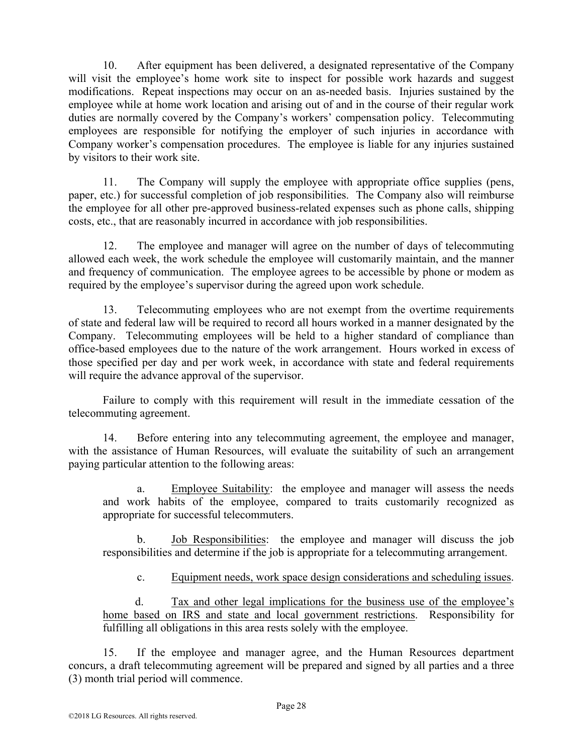10. After equipment has been delivered, a designated representative of the Company will visit the employee's home work site to inspect for possible work hazards and suggest modifications. Repeat inspections may occur on an as-needed basis. Injuries sustained by the employee while at home work location and arising out of and in the course of their regular work duties are normally covered by the Company's workers' compensation policy. Telecommuting employees are responsible for notifying the employer of such injuries in accordance with Company worker's compensation procedures. The employee is liable for any injuries sustained by visitors to their work site.

11. The Company will supply the employee with appropriate office supplies (pens, paper, etc.) for successful completion of job responsibilities. The Company also will reimburse the employee for all other pre-approved business-related expenses such as phone calls, shipping costs, etc., that are reasonably incurred in accordance with job responsibilities.

12. The employee and manager will agree on the number of days of telecommuting allowed each week, the work schedule the employee will customarily maintain, and the manner and frequency of communication. The employee agrees to be accessible by phone or modem as required by the employee's supervisor during the agreed upon work schedule.

13. Telecommuting employees who are not exempt from the overtime requirements of state and federal law will be required to record all hours worked in a manner designated by the Company. Telecommuting employees will be held to a higher standard of compliance than office-based employees due to the nature of the work arrangement. Hours worked in excess of those specified per day and per work week, in accordance with state and federal requirements will require the advance approval of the supervisor.

Failure to comply with this requirement will result in the immediate cessation of the telecommuting agreement.

14. Before entering into any telecommuting agreement, the employee and manager, with the assistance of Human Resources, will evaluate the suitability of such an arrangement paying particular attention to the following areas:

a. Employee Suitability: the employee and manager will assess the needs and work habits of the employee, compared to traits customarily recognized as appropriate for successful telecommuters.

b. Job Responsibilities: the employee and manager will discuss the job responsibilities and determine if the job is appropriate for a telecommuting arrangement.

c. Equipment needs, work space design considerations and scheduling issues.

d. Tax and other legal implications for the business use of the employee's home based on IRS and state and local government restrictions. Responsibility for fulfilling all obligations in this area rests solely with the employee.

15. If the employee and manager agree, and the Human Resources department concurs, a draft telecommuting agreement will be prepared and signed by all parties and a three (3) month trial period will commence.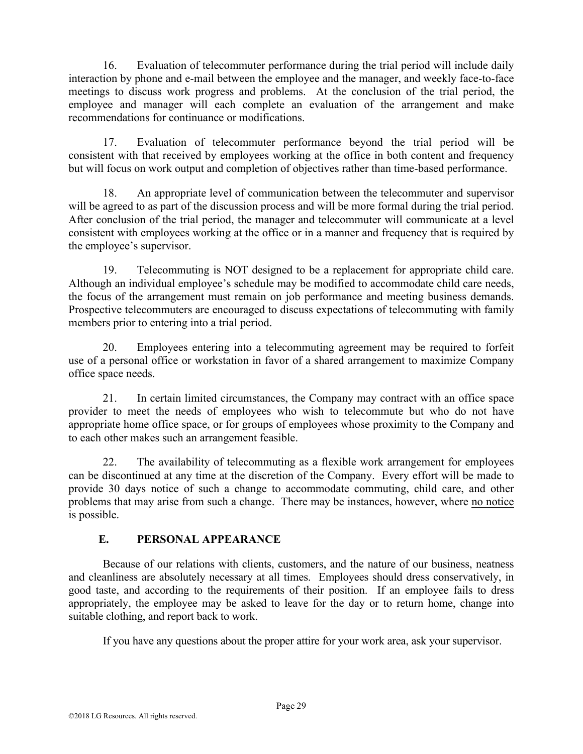16. Evaluation of telecommuter performance during the trial period will include daily interaction by phone and e-mail between the employee and the manager, and weekly face-to-face meetings to discuss work progress and problems. At the conclusion of the trial period, the employee and manager will each complete an evaluation of the arrangement and make recommendations for continuance or modifications.

17. Evaluation of telecommuter performance beyond the trial period will be consistent with that received by employees working at the office in both content and frequency but will focus on work output and completion of objectives rather than time-based performance.

18. An appropriate level of communication between the telecommuter and supervisor will be agreed to as part of the discussion process and will be more formal during the trial period. After conclusion of the trial period, the manager and telecommuter will communicate at a level consistent with employees working at the office or in a manner and frequency that is required by the employee's supervisor.

19. Telecommuting is NOT designed to be a replacement for appropriate child care. Although an individual employee's schedule may be modified to accommodate child care needs, the focus of the arrangement must remain on job performance and meeting business demands. Prospective telecommuters are encouraged to discuss expectations of telecommuting with family members prior to entering into a trial period.

20. Employees entering into a telecommuting agreement may be required to forfeit use of a personal office or workstation in favor of a shared arrangement to maximize Company office space needs.

21. In certain limited circumstances, the Company may contract with an office space provider to meet the needs of employees who wish to telecommute but who do not have appropriate home office space, or for groups of employees whose proximity to the Company and to each other makes such an arrangement feasible.

22. The availability of telecommuting as a flexible work arrangement for employees can be discontinued at any time at the discretion of the Company. Every effort will be made to provide 30 days notice of such a change to accommodate commuting, child care, and other problems that may arise from such a change. There may be instances, however, where no notice is possible.

# **E. PERSONAL APPEARANCE**

Because of our relations with clients, customers, and the nature of our business, neatness and cleanliness are absolutely necessary at all times. Employees should dress conservatively, in good taste, and according to the requirements of their position. If an employee fails to dress appropriately, the employee may be asked to leave for the day or to return home, change into suitable clothing, and report back to work.

If you have any questions about the proper attire for your work area, ask your supervisor.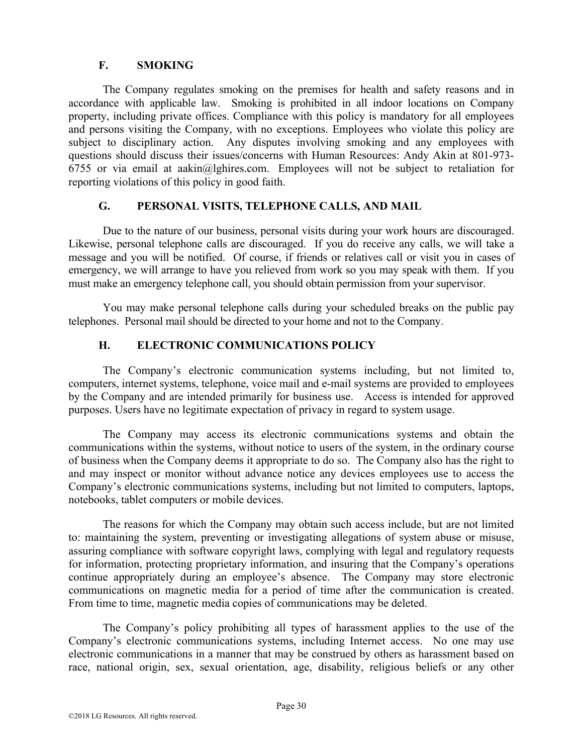## **F. SMOKING**

The Company regulates smoking on the premises for health and safety reasons and in accordance with applicable law. Smoking is prohibited in all indoor locations on Company property, including private offices. Compliance with this policy is mandatory for all employees and persons visiting the Company, with no exceptions. Employees who violate this policy are subject to disciplinary action. Any disputes involving smoking and any employees with questions should discuss their issues/concerns with Human Resources: Andy Akin at 801-973-  $6755$  or via email at aakin@lghires.com. Employees will not be subject to retaliation for reporting violations of this policy in good faith.

#### **G. PERSONAL VISITS, TELEPHONE CALLS, AND MAIL**

Due to the nature of our business, personal visits during your work hours are discouraged. Likewise, personal telephone calls are discouraged. If you do receive any calls, we will take a message and you will be notified. Of course, if friends or relatives call or visit you in cases of emergency, we will arrange to have you relieved from work so you may speak with them. If you must make an emergency telephone call, you should obtain permission from your supervisor.

You may make personal telephone calls during your scheduled breaks on the public pay telephones. Personal mail should be directed to your home and not to the Company.

## **H. ELECTRONIC COMMUNICATIONS POLICY**

The Company's electronic communication systems including, but not limited to, computers, internet systems, telephone, voice mail and e-mail systems are provided to employees by the Company and are intended primarily for business use. Access is intended for approved purposes. Users have no legitimate expectation of privacy in regard to system usage.

The Company may access its electronic communications systems and obtain the communications within the systems, without notice to users of the system, in the ordinary course of business when the Company deems it appropriate to do so. The Company also has the right to and may inspect or monitor without advance notice any devices employees use to access the Company's electronic communications systems, including but not limited to computers, laptops, notebooks, tablet computers or mobile devices.

The reasons for which the Company may obtain such access include, but are not limited to: maintaining the system, preventing or investigating allegations of system abuse or misuse, assuring compliance with software copyright laws, complying with legal and regulatory requests for information, protecting proprietary information, and insuring that the Company's operations continue appropriately during an employee's absence. The Company may store electronic communications on magnetic media for a period of time after the communication is created. From time to time, magnetic media copies of communications may be deleted.

The Company's policy prohibiting all types of harassment applies to the use of the Company's electronic communications systems, including Internet access. No one may use electronic communications in a manner that may be construed by others as harassment based on race, national origin, sex, sexual orientation, age, disability, religious beliefs or any other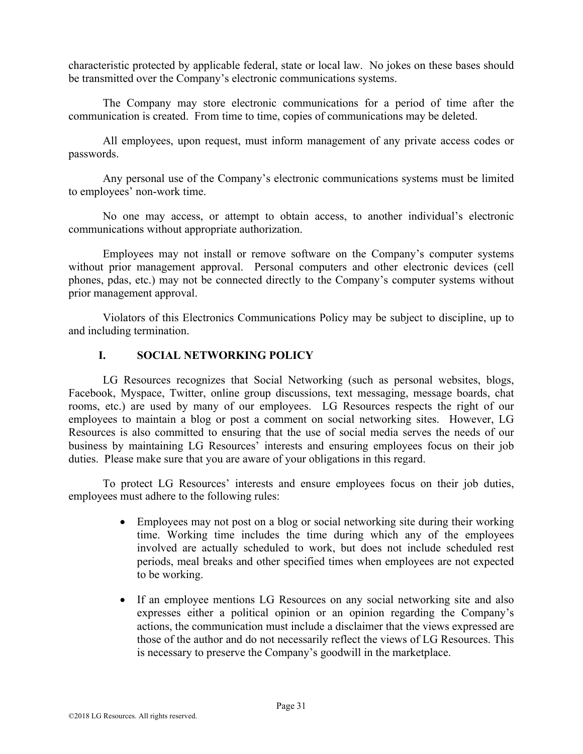characteristic protected by applicable federal, state or local law. No jokes on these bases should be transmitted over the Company's electronic communications systems.

The Company may store electronic communications for a period of time after the communication is created. From time to time, copies of communications may be deleted.

All employees, upon request, must inform management of any private access codes or passwords.

Any personal use of the Company's electronic communications systems must be limited to employees' non-work time.

No one may access, or attempt to obtain access, to another individual's electronic communications without appropriate authorization.

Employees may not install or remove software on the Company's computer systems without prior management approval. Personal computers and other electronic devices (cell phones, pdas, etc.) may not be connected directly to the Company's computer systems without prior management approval.

Violators of this Electronics Communications Policy may be subject to discipline, up to and including termination.

### **I. SOCIAL NETWORKING POLICY**

LG Resources recognizes that Social Networking (such as personal websites, blogs, Facebook, Myspace, Twitter, online group discussions, text messaging, message boards, chat rooms, etc.) are used by many of our employees. LG Resources respects the right of our employees to maintain a blog or post a comment on social networking sites. However, LG Resources is also committed to ensuring that the use of social media serves the needs of our business by maintaining LG Resources' interests and ensuring employees focus on their job duties. Please make sure that you are aware of your obligations in this regard.

To protect LG Resources' interests and ensure employees focus on their job duties, employees must adhere to the following rules:

- Employees may not post on a blog or social networking site during their working time. Working time includes the time during which any of the employees involved are actually scheduled to work, but does not include scheduled rest periods, meal breaks and other specified times when employees are not expected to be working.
- If an employee mentions LG Resources on any social networking site and also expresses either a political opinion or an opinion regarding the Company's actions, the communication must include a disclaimer that the views expressed are those of the author and do not necessarily reflect the views of LG Resources. This is necessary to preserve the Company's goodwill in the marketplace.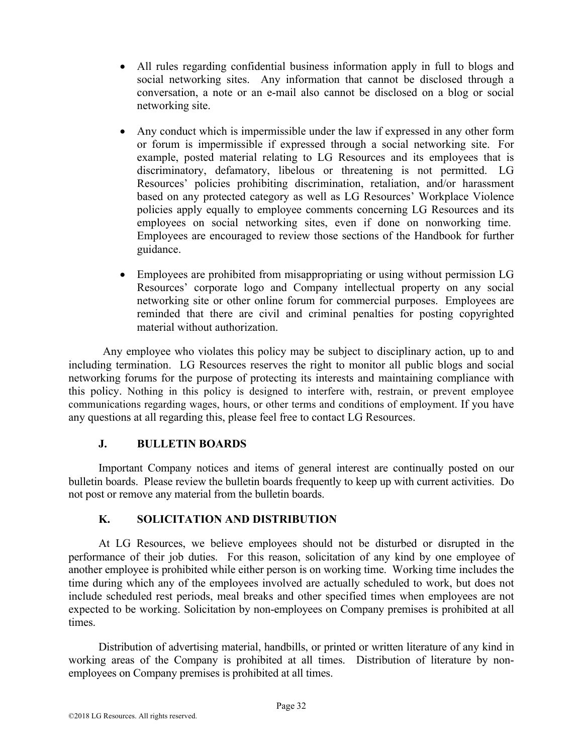- All rules regarding confidential business information apply in full to blogs and social networking sites. Any information that cannot be disclosed through a conversation, a note or an e-mail also cannot be disclosed on a blog or social networking site.
- Any conduct which is impermissible under the law if expressed in any other form or forum is impermissible if expressed through a social networking site. For example, posted material relating to LG Resources and its employees that is discriminatory, defamatory, libelous or threatening is not permitted. LG Resources' policies prohibiting discrimination, retaliation, and/or harassment based on any protected category as well as LG Resources' Workplace Violence policies apply equally to employee comments concerning LG Resources and its employees on social networking sites, even if done on nonworking time. Employees are encouraged to review those sections of the Handbook for further guidance.
- Employees are prohibited from misappropriating or using without permission LG Resources' corporate logo and Company intellectual property on any social networking site or other online forum for commercial purposes. Employees are reminded that there are civil and criminal penalties for posting copyrighted material without authorization.

Any employee who violates this policy may be subject to disciplinary action, up to and including termination. LG Resources reserves the right to monitor all public blogs and social networking forums for the purpose of protecting its interests and maintaining compliance with this policy. Nothing in this policy is designed to interfere with, restrain, or prevent employee communications regarding wages, hours, or other terms and conditions of employment. If you have any questions at all regarding this, please feel free to contact LG Resources.

# **J. BULLETIN BOARDS**

Important Company notices and items of general interest are continually posted on our bulletin boards. Please review the bulletin boards frequently to keep up with current activities. Do not post or remove any material from the bulletin boards.

# **K. SOLICITATION AND DISTRIBUTION**

At LG Resources, we believe employees should not be disturbed or disrupted in the performance of their job duties. For this reason, solicitation of any kind by one employee of another employee is prohibited while either person is on working time. Working time includes the time during which any of the employees involved are actually scheduled to work, but does not include scheduled rest periods, meal breaks and other specified times when employees are not expected to be working. Solicitation by non-employees on Company premises is prohibited at all times.

Distribution of advertising material, handbills, or printed or written literature of any kind in working areas of the Company is prohibited at all times. Distribution of literature by nonemployees on Company premises is prohibited at all times.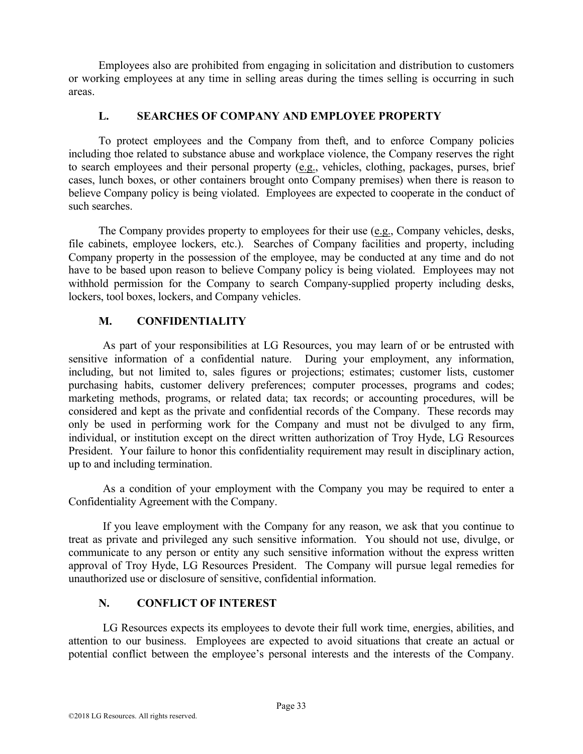Employees also are prohibited from engaging in solicitation and distribution to customers or working employees at any time in selling areas during the times selling is occurring in such areas.

## **L. SEARCHES OF COMPANY AND EMPLOYEE PROPERTY**

To protect employees and the Company from theft, and to enforce Company policies including thoe related to substance abuse and workplace violence, the Company reserves the right to search employees and their personal property (e.g., vehicles, clothing, packages, purses, brief cases, lunch boxes, or other containers brought onto Company premises) when there is reason to believe Company policy is being violated. Employees are expected to cooperate in the conduct of such searches.

The Company provides property to employees for their use (e.g., Company vehicles, desks, file cabinets, employee lockers, etc.). Searches of Company facilities and property, including Company property in the possession of the employee, may be conducted at any time and do not have to be based upon reason to believe Company policy is being violated. Employees may not withhold permission for the Company to search Company-supplied property including desks, lockers, tool boxes, lockers, and Company vehicles.

# **M. CONFIDENTIALITY**

As part of your responsibilities at LG Resources, you may learn of or be entrusted with sensitive information of a confidential nature. During your employment, any information, including, but not limited to, sales figures or projections; estimates; customer lists, customer purchasing habits, customer delivery preferences; computer processes, programs and codes; marketing methods, programs, or related data; tax records; or accounting procedures, will be considered and kept as the private and confidential records of the Company. These records may only be used in performing work for the Company and must not be divulged to any firm, individual, or institution except on the direct written authorization of Troy Hyde, LG Resources President. Your failure to honor this confidentiality requirement may result in disciplinary action, up to and including termination.

As a condition of your employment with the Company you may be required to enter a Confidentiality Agreement with the Company.

If you leave employment with the Company for any reason, we ask that you continue to treat as private and privileged any such sensitive information. You should not use, divulge, or communicate to any person or entity any such sensitive information without the express written approval of Troy Hyde, LG Resources President. The Company will pursue legal remedies for unauthorized use or disclosure of sensitive, confidential information.

# **N. CONFLICT OF INTEREST**

LG Resources expects its employees to devote their full work time, energies, abilities, and attention to our business. Employees are expected to avoid situations that create an actual or potential conflict between the employee's personal interests and the interests of the Company.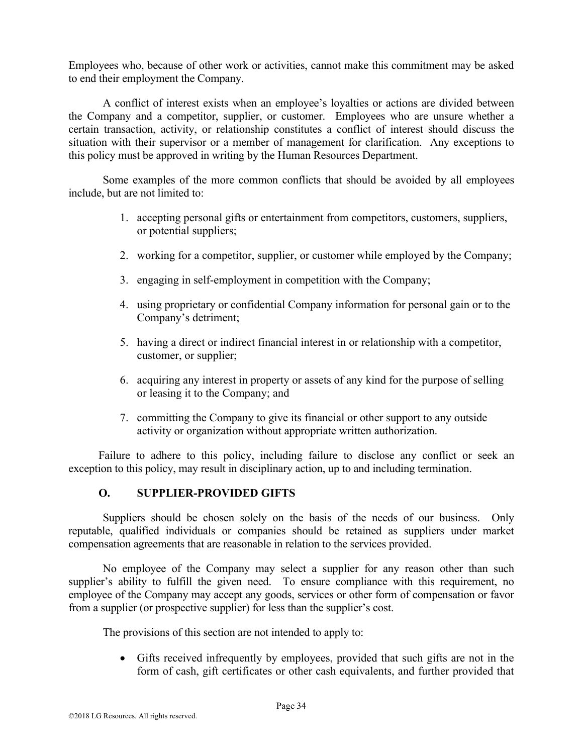Employees who, because of other work or activities, cannot make this commitment may be asked to end their employment the Company.

A conflict of interest exists when an employee's loyalties or actions are divided between the Company and a competitor, supplier, or customer. Employees who are unsure whether a certain transaction, activity, or relationship constitutes a conflict of interest should discuss the situation with their supervisor or a member of management for clarification. Any exceptions to this policy must be approved in writing by the Human Resources Department.

Some examples of the more common conflicts that should be avoided by all employees include, but are not limited to:

- 1. accepting personal gifts or entertainment from competitors, customers, suppliers, or potential suppliers;
- 2. working for a competitor, supplier, or customer while employed by the Company;
- 3. engaging in self-employment in competition with the Company;
- 4. using proprietary or confidential Company information for personal gain or to the Company's detriment;
- 5. having a direct or indirect financial interest in or relationship with a competitor, customer, or supplier;
- 6. acquiring any interest in property or assets of any kind for the purpose of selling or leasing it to the Company; and
- 7. committing the Company to give its financial or other support to any outside activity or organization without appropriate written authorization.

Failure to adhere to this policy, including failure to disclose any conflict or seek an exception to this policy, may result in disciplinary action, up to and including termination.

# **O. SUPPLIER-PROVIDED GIFTS**

Suppliers should be chosen solely on the basis of the needs of our business. Only reputable, qualified individuals or companies should be retained as suppliers under market compensation agreements that are reasonable in relation to the services provided.

No employee of the Company may select a supplier for any reason other than such supplier's ability to fulfill the given need. To ensure compliance with this requirement, no employee of the Company may accept any goods, services or other form of compensation or favor from a supplier (or prospective supplier) for less than the supplier's cost.

The provisions of this section are not intended to apply to:

• Gifts received infrequently by employees, provided that such gifts are not in the form of cash, gift certificates or other cash equivalents, and further provided that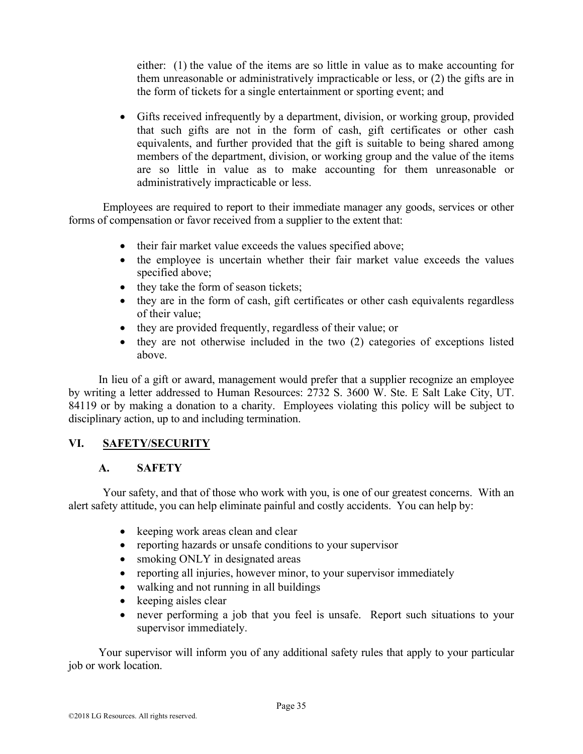either: (1) the value of the items are so little in value as to make accounting for them unreasonable or administratively impracticable or less, or (2) the gifts are in the form of tickets for a single entertainment or sporting event; and

• Gifts received infrequently by a department, division, or working group, provided that such gifts are not in the form of cash, gift certificates or other cash equivalents, and further provided that the gift is suitable to being shared among members of the department, division, or working group and the value of the items are so little in value as to make accounting for them unreasonable or administratively impracticable or less.

Employees are required to report to their immediate manager any goods, services or other forms of compensation or favor received from a supplier to the extent that:

- their fair market value exceeds the values specified above;
- the employee is uncertain whether their fair market value exceeds the values specified above;
- they take the form of season tickets;
- they are in the form of cash, gift certificates or other cash equivalents regardless of their value;
- they are provided frequently, regardless of their value; or
- they are not otherwise included in the two (2) categories of exceptions listed above.

In lieu of a gift or award, management would prefer that a supplier recognize an employee by writing a letter addressed to Human Resources: 2732 S. 3600 W. Ste. E Salt Lake City, UT. 84119 or by making a donation to a charity. Employees violating this policy will be subject to disciplinary action, up to and including termination.

# **VI. SAFETY/SECURITY**

# **A. SAFETY**

Your safety, and that of those who work with you, is one of our greatest concerns. With an alert safety attitude, you can help eliminate painful and costly accidents. You can help by:

- keeping work areas clean and clear
- reporting hazards or unsafe conditions to your supervisor
- smoking ONLY in designated areas
- reporting all injuries, however minor, to your supervisor immediately
- walking and not running in all buildings
- keeping aisles clear
- never performing a job that you feel is unsafe. Report such situations to your supervisor immediately.

Your supervisor will inform you of any additional safety rules that apply to your particular job or work location.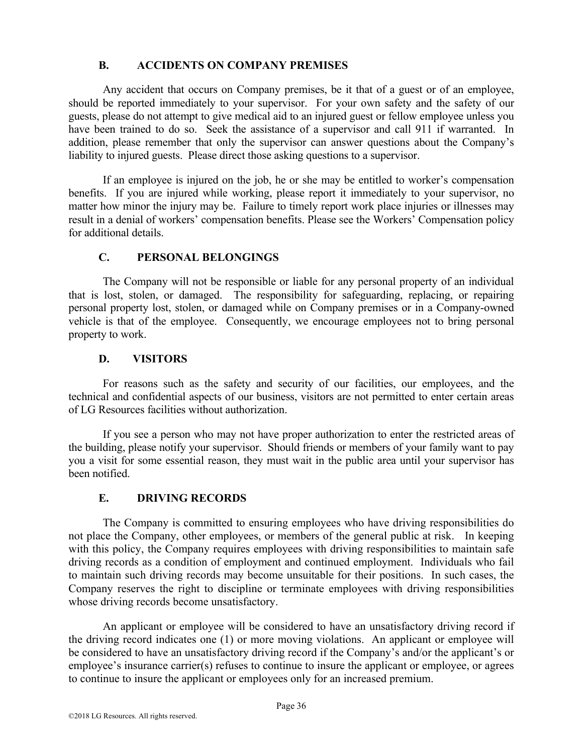## **B. ACCIDENTS ON COMPANY PREMISES**

Any accident that occurs on Company premises, be it that of a guest or of an employee, should be reported immediately to your supervisor. For your own safety and the safety of our guests, please do not attempt to give medical aid to an injured guest or fellow employee unless you have been trained to do so. Seek the assistance of a supervisor and call 911 if warranted. In addition, please remember that only the supervisor can answer questions about the Company's liability to injured guests. Please direct those asking questions to a supervisor.

If an employee is injured on the job, he or she may be entitled to worker's compensation benefits. If you are injured while working, please report it immediately to your supervisor, no matter how minor the injury may be. Failure to timely report work place injuries or illnesses may result in a denial of workers' compensation benefits. Please see the Workers' Compensation policy for additional details.

#### **C. PERSONAL BELONGINGS**

The Company will not be responsible or liable for any personal property of an individual that is lost, stolen, or damaged. The responsibility for safeguarding, replacing, or repairing personal property lost, stolen, or damaged while on Company premises or in a Company-owned vehicle is that of the employee. Consequently, we encourage employees not to bring personal property to work.

### **D. VISITORS**

For reasons such as the safety and security of our facilities, our employees, and the technical and confidential aspects of our business, visitors are not permitted to enter certain areas of LG Resources facilities without authorization.

If you see a person who may not have proper authorization to enter the restricted areas of the building, please notify your supervisor. Should friends or members of your family want to pay you a visit for some essential reason, they must wait in the public area until your supervisor has been notified.

# **E. DRIVING RECORDS**

The Company is committed to ensuring employees who have driving responsibilities do not place the Company, other employees, or members of the general public at risk. In keeping with this policy, the Company requires employees with driving responsibilities to maintain safe driving records as a condition of employment and continued employment. Individuals who fail to maintain such driving records may become unsuitable for their positions. In such cases, the Company reserves the right to discipline or terminate employees with driving responsibilities whose driving records become unsatisfactory.

An applicant or employee will be considered to have an unsatisfactory driving record if the driving record indicates one (1) or more moving violations. An applicant or employee will be considered to have an unsatisfactory driving record if the Company's and/or the applicant's or employee's insurance carrier(s) refuses to continue to insure the applicant or employee, or agrees to continue to insure the applicant or employees only for an increased premium.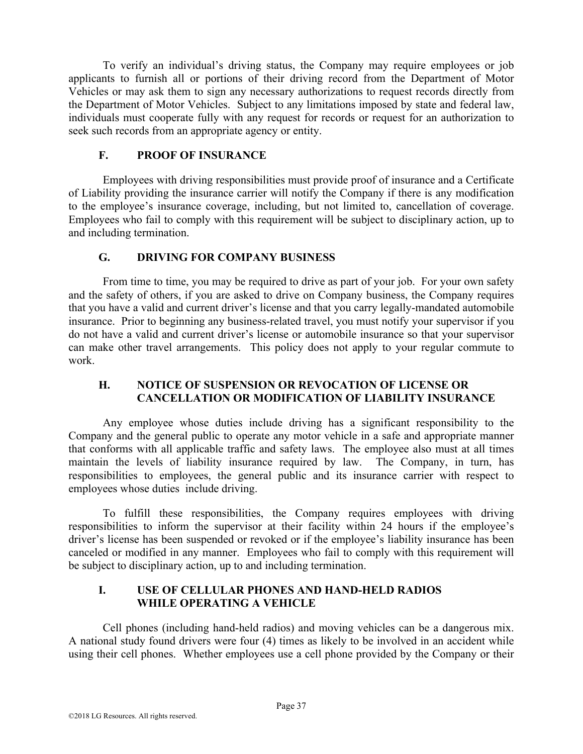To verify an individual's driving status, the Company may require employees or job applicants to furnish all or portions of their driving record from the Department of Motor Vehicles or may ask them to sign any necessary authorizations to request records directly from the Department of Motor Vehicles. Subject to any limitations imposed by state and federal law, individuals must cooperate fully with any request for records or request for an authorization to seek such records from an appropriate agency or entity.

## **F. PROOF OF INSURANCE**

Employees with driving responsibilities must provide proof of insurance and a Certificate of Liability providing the insurance carrier will notify the Company if there is any modification to the employee's insurance coverage, including, but not limited to, cancellation of coverage. Employees who fail to comply with this requirement will be subject to disciplinary action, up to and including termination.

### **G. DRIVING FOR COMPANY BUSINESS**

From time to time, you may be required to drive as part of your job. For your own safety and the safety of others, if you are asked to drive on Company business, the Company requires that you have a valid and current driver's license and that you carry legally-mandated automobile insurance. Prior to beginning any business-related travel, you must notify your supervisor if you do not have a valid and current driver's license or automobile insurance so that your supervisor can make other travel arrangements. This policy does not apply to your regular commute to work.

### **H. NOTICE OF SUSPENSION OR REVOCATION OF LICENSE OR CANCELLATION OR MODIFICATION OF LIABILITY INSURANCE**

Any employee whose duties include driving has a significant responsibility to the Company and the general public to operate any motor vehicle in a safe and appropriate manner that conforms with all applicable traffic and safety laws. The employee also must at all times maintain the levels of liability insurance required by law. The Company, in turn, has responsibilities to employees, the general public and its insurance carrier with respect to employees whose duties include driving.

To fulfill these responsibilities, the Company requires employees with driving responsibilities to inform the supervisor at their facility within 24 hours if the employee's driver's license has been suspended or revoked or if the employee's liability insurance has been canceled or modified in any manner. Employees who fail to comply with this requirement will be subject to disciplinary action, up to and including termination.

### **I. USE OF CELLULAR PHONES AND HAND-HELD RADIOS WHILE OPERATING A VEHICLE**

Cell phones (including hand-held radios) and moving vehicles can be a dangerous mix. A national study found drivers were four (4) times as likely to be involved in an accident while using their cell phones. Whether employees use a cell phone provided by the Company or their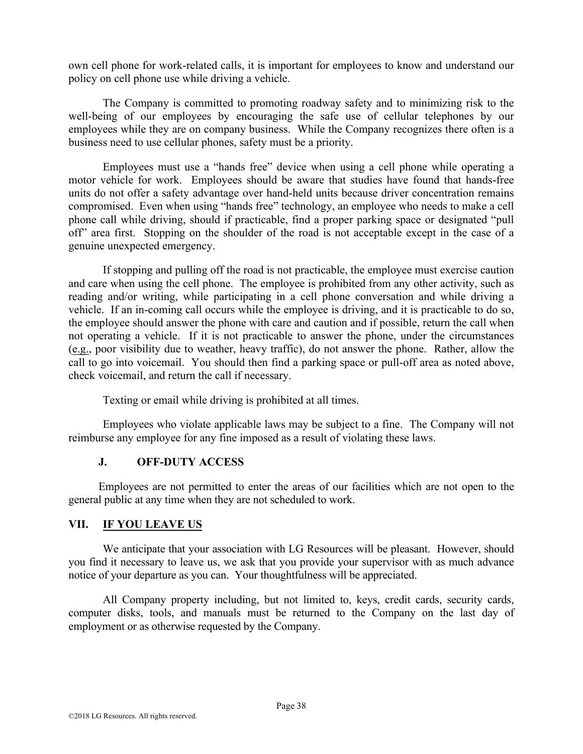own cell phone for work-related calls, it is important for employees to know and understand our policy on cell phone use while driving a vehicle.

The Company is committed to promoting roadway safety and to minimizing risk to the well-being of our employees by encouraging the safe use of cellular telephones by our employees while they are on company business. While the Company recognizes there often is a business need to use cellular phones, safety must be a priority.

Employees must use a "hands free" device when using a cell phone while operating a motor vehicle for work. Employees should be aware that studies have found that hands-free units do not offer a safety advantage over hand-held units because driver concentration remains compromised. Even when using "hands free" technology, an employee who needs to make a cell phone call while driving, should if practicable, find a proper parking space or designated "pull off" area first. Stopping on the shoulder of the road is not acceptable except in the case of a genuine unexpected emergency.

If stopping and pulling off the road is not practicable, the employee must exercise caution and care when using the cell phone. The employee is prohibited from any other activity, such as reading and/or writing, while participating in a cell phone conversation and while driving a vehicle. If an in-coming call occurs while the employee is driving, and it is practicable to do so, the employee should answer the phone with care and caution and if possible, return the call when not operating a vehicle. If it is not practicable to answer the phone, under the circumstances (e.g., poor visibility due to weather, heavy traffic), do not answer the phone. Rather, allow the call to go into voicemail. You should then find a parking space or pull-off area as noted above, check voicemail, and return the call if necessary.

Texting or email while driving is prohibited at all times.

Employees who violate applicable laws may be subject to a fine. The Company will not reimburse any employee for any fine imposed as a result of violating these laws.

# **J. OFF-DUTY ACCESS**

Employees are not permitted to enter the areas of our facilities which are not open to the general public at any time when they are not scheduled to work.

# **VII. IF YOU LEAVE US**

We anticipate that your association with LG Resources will be pleasant. However, should you find it necessary to leave us, we ask that you provide your supervisor with as much advance notice of your departure as you can. Your thoughtfulness will be appreciated.

All Company property including, but not limited to, keys, credit cards, security cards, computer disks, tools, and manuals must be returned to the Company on the last day of employment or as otherwise requested by the Company.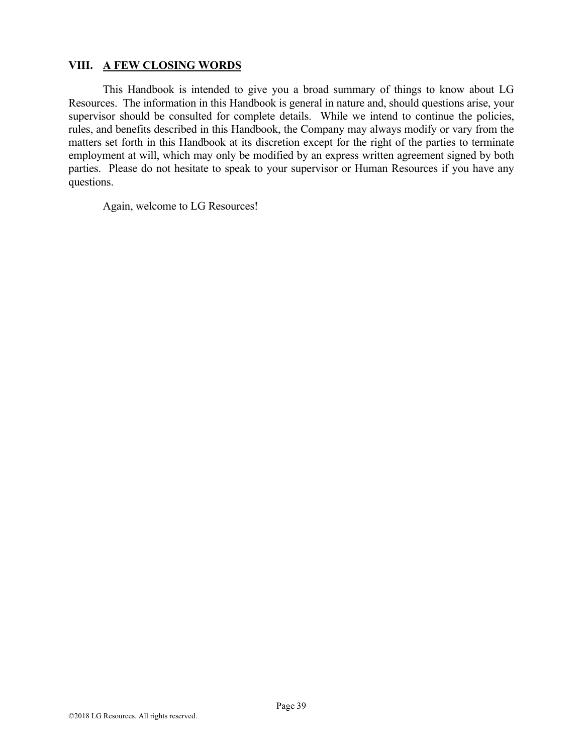# **VIII. A FEW CLOSING WORDS**

This Handbook is intended to give you a broad summary of things to know about LG Resources. The information in this Handbook is general in nature and, should questions arise, your supervisor should be consulted for complete details. While we intend to continue the policies, rules, and benefits described in this Handbook, the Company may always modify or vary from the matters set forth in this Handbook at its discretion except for the right of the parties to terminate employment at will, which may only be modified by an express written agreement signed by both parties. Please do not hesitate to speak to your supervisor or Human Resources if you have any questions.

Again, welcome to LG Resources!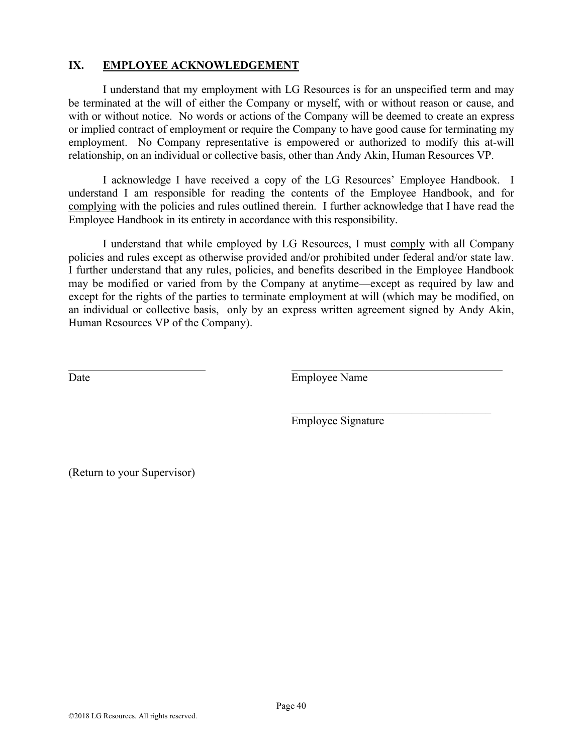# **IX. EMPLOYEE ACKNOWLEDGEMENT**

I understand that my employment with LG Resources is for an unspecified term and may be terminated at the will of either the Company or myself, with or without reason or cause, and with or without notice. No words or actions of the Company will be deemed to create an express or implied contract of employment or require the Company to have good cause for terminating my employment. No Company representative is empowered or authorized to modify this at-will relationship, on an individual or collective basis, other than Andy Akin, Human Resources VP.

I acknowledge I have received a copy of the LG Resources' Employee Handbook. I understand I am responsible for reading the contents of the Employee Handbook, and for complying with the policies and rules outlined therein. I further acknowledge that I have read the Employee Handbook in its entirety in accordance with this responsibility.

I understand that while employed by LG Resources, I must comply with all Company policies and rules except as otherwise provided and/or prohibited under federal and/or state law. I further understand that any rules, policies, and benefits described in the Employee Handbook may be modified or varied from by the Company at anytime—except as required by law and except for the rights of the parties to terminate employment at will (which may be modified, on an individual or collective basis, only by an express written agreement signed by Andy Akin, Human Resources VP of the Company).

Date Employee Name

Employee Signature

 $\mathcal{L}_\text{max}$  , where  $\mathcal{L}_\text{max}$  and  $\mathcal{L}_\text{max}$  and  $\mathcal{L}_\text{max}$ 

(Return to your Supervisor)